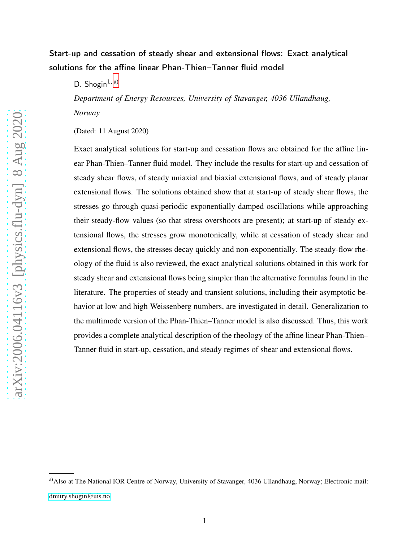# Start-up and cessation of steady shear and extensional flows: Exact analytical solutions for the affine linear Phan-Thien–Tanner fluid model

D. Shogin<sup>1, [a\)](#page-0-0)</sup>

*Department of Energy Resources, University of Stavanger, 4036 Ullandhaug, Norway*

(Dated: 11 August 2020)

Exact analytical solutions for start-up and cessation flows are obtained for the affine linear Phan-Thien–Tanner fluid model. They include the results for start-up and cessation of steady shear flows, of steady uniaxial and biaxial extensional flows, and of steady planar extensional flows. The solutions obtained show that at start-up of steady shear flows, the stresses go through quasi-periodic exponentially damped oscillations while approaching their steady-flow values (so that stress overshoots are present); at start-up of steady extensional flows, the stresses grow monotonically, while at cessation of steady shear and extensional flows, the stresses decay quickly and non-exponentially. The steady-flow rheology of the fluid is also reviewed, the exact analytical solutions obtained in this work for steady shear and extensional flows being simpler than the alternative formulas found in the literature. The properties of steady and transient solutions, including their asymptotic behavior at low and high Weissenberg numbers, are investigated in detail. Generalization to the multimode version of the Phan-Thien–Tanner model is also discussed. Thus, this work provides a complete analytical description of the rheology of the affine linear Phan-Thien– Tanner fluid in start-up, cessation, and steady regimes of shear and extensional flows.

<span id="page-0-0"></span>a) Also at The National IOR Centre of Norway, University of Stavanger, 4036 Ullandhaug, Norway; Electronic mail: [dmitry.shogin@uis.no](mailto:dmitry.shogin@uis.no)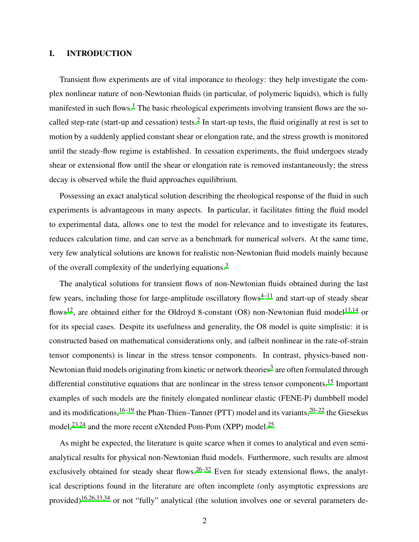# I. INTRODUCTION

Transient flow experiments are of vital imporance to rheology: they help investigate the complex nonlinear nature of non-Newtonian fluids (in particular, of polymeric liquids), which is fully manifested in such flows.<sup>[1](#page-33-0)</sup> The basic rheological experiments involving transient flows are the so-called step-rate (start-up and cessation) tests.<sup>[2](#page-33-1)</sup> In start-up tests, the fluid originally at rest is set to motion by a suddenly applied constant shear or elongation rate, and the stress growth is monitored until the steady-flow regime is established. In cessation experiments, the fluid undergoes steady shear or extensional flow until the shear or elongation rate is removed instantaneously; the stress decay is observed while the fluid approaches equilibrium.

Possessing an exact analytical solution describing the rheological response of the fluid in such experiments is advantageous in many aspects. In particular, it facilitates fitting the fluid model to experimental data, allows one to test the model for relevance and to investigate its features, reduces calculation time, and can serve as a benchmark for numerical solvers. At the same time, very few analytical solutions are known for realistic non-Newtonian fluid models mainly because of the overall complexity of the underlying equations.[3](#page-33-2)

The analytical solutions for transient flows of non-Newtonian fluids obtained during the last few years, including those for large-amplitude oscillatory flows<sup> $4-11$  $4-11$ </sup> and start-up of steady shear flows<sup>[12](#page-34-1)</sup>, are obtained either for the Oldroyd 8-constant (O8) non-Newtonian fluid model<sup>[13](#page-34-2)[,14](#page-34-3)</sup> or for its special cases. Despite its usefulness and generality, the O8 model is quite simplistic: it is constructed based on mathematical considerations only, and (albeit nonlinear in the rate-of-strain tensor components) is linear in the stress tensor components. In contrast, physics-based non-Newtonian fluid models originating from kinetic or network theories<sup>[3](#page-33-2)</sup> are often formulated through differential constitutive equations that are nonlinear in the stress tensor components.<sup>[15](#page-34-4)</sup> Important examples of such models are the finitely elongated nonlinear elastic (FENE-P) dumbbell model and its modifications,  $16-19$  $16-19$  the Phan-Thien–Tanner (PTT) model and its variants,  $20-22$  $20-22$  the Giesekus model,<sup>[23](#page-35-0)[,24](#page-35-1)</sup> and the more recent eXtended Pom-Pom (XPP) model.<sup>[25](#page-35-2)</sup>

As might be expected, the literature is quite scarce when it comes to analytical and even semianalytical results for physical non-Newtonian fluid models. Furthermore, such results are almost exclusively obtained for steady shear flows.<sup>[26](#page-35-3)[–32](#page-35-4)</sup> Even for steady extensional flows, the analytical descriptions found in the literature are often incomplete (only asymptotic expressions are provided)[16](#page-34-5)[,26](#page-35-3)[,33](#page-35-5)[,34](#page-35-6) or not "fully" analytical (the solution involves one or several parameters de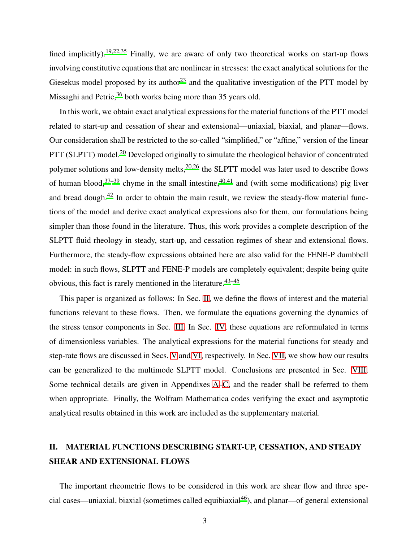fined implicitly).<sup>[19](#page-34-6)[,22](#page-34-8)[,35](#page-35-7)</sup> Finally, we are aware of only two theoretical works on start-up flows involving constitutive equations that are nonlinear in stresses: the exact analytical solutions for the Giesekus model proposed by its author<sup>[23](#page-35-0)</sup> and the qualitative investigation of the PTT model by Missaghi and Petrie,<sup>[36](#page-35-8)</sup> both works being more than 35 years old.

In this work, we obtain exact analytical expressions for the material functions of the PTT model related to start-up and cessation of shear and extensional—uniaxial, biaxial, and planar—flows. Our consideration shall be restricted to the so-called "simplified," or "affine," version of the linear PTT (SLPTT) model.<sup>[20](#page-34-7)</sup> Developed originally to simulate the rheological behavior of concentrated polymer solutions and low-density melts,<sup>[20](#page-34-7)[,26](#page-35-3)</sup> the SLPTT model was later used to describe flows of human blood,  $37-39$  $37-39$  chyme in the small intestine,  $40,41$  $40,41$  and (with some modifications) pig liver and bread dough.<sup>[42](#page-36-4)</sup> In order to obtain the main result, we review the steady-flow material functions of the model and derive exact analytical expressions also for them, our formulations being simpler than those found in the literature. Thus, this work provides a complete description of the SLPTT fluid rheology in steady, start-up, and cessation regimes of shear and extensional flows. Furthermore, the steady-flow expressions obtained here are also valid for the FENE-P dumbbell model: in such flows, SLPTT and FENE-P models are completely equivalent; despite being quite obvious, this fact is rarely mentioned in the literature.  $43-45$  $43-45$ 

This paper is organized as follows: In Sec. [II,](#page-2-0) we define the flows of interest and the material functions relevant to these flows. Then, we formulate the equations governing the dynamics of the stress tensor components in Sec. [III.](#page-5-0) In Sec. [IV,](#page-7-0) these equations are reformulated in terms of dimensionless variables. The analytical expressions for the material functions for steady and step-rate flows are discussed in Secs. [V](#page-11-0) and [VI,](#page-18-0) respectively. In Sec. [VII,](#page-24-0) we show how our results can be generalized to the multimode SLPTT model. Conclusions are presented in Sec. [VIII.](#page-26-0) Some technical details are given in Appendixes [A–](#page-27-0)[C,](#page-30-0) and the reader shall be referred to them when appropriate. Finally, the Wolfram Mathematica codes verifying the exact and asymptotic analytical results obtained in this work are included as the supplementary material.

# <span id="page-2-0"></span>II. MATERIAL FUNCTIONS DESCRIBING START-UP, CESSATION, AND STEADY SHEAR AND EXTENSIONAL FLOWS

The important rheometric flows to be considered in this work are shear flow and three spe-cial cases—uniaxial, biaxial (sometimes called equibiaxial<sup>[46](#page-36-7)</sup>), and planar—of general extensional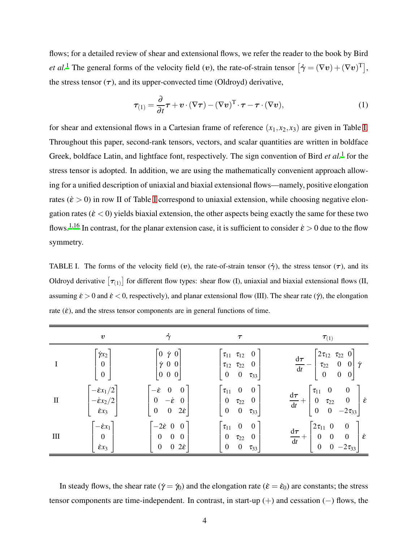flows; for a detailed review of shear and extensional flows, we refer the reader to the book by Bird *et al.*<sup>[1](#page-33-0)</sup> The general forms of the velocity field (*v*), the rate-of-strain tensor  $[\dot{\gamma} = (\nabla v) + (\nabla v)^T]$ , the stress tensor  $(\tau)$ , and its upper-convected time (Oldroyd) derivative,

$$
\boldsymbol{\tau}_{(1)} = \frac{\partial}{\partial t} \boldsymbol{\tau} + \boldsymbol{v} \cdot (\nabla \boldsymbol{\tau}) - (\nabla \boldsymbol{v})^{\mathrm{T}} \cdot \boldsymbol{\tau} - \boldsymbol{\tau} \cdot (\nabla \boldsymbol{v}), \tag{1}
$$

for shear and extensional flows in a Cartesian frame of reference  $(x_1, x_2, x_3)$  are given in Table [I.](#page-3-0) Throughout this paper, second-rank tensors, vectors, and scalar quantities are written in boldface Greek, boldface Latin, and lightface font, respectively. The sign convention of Bird et al.<sup>[1](#page-33-0)</sup> for the stress tensor is adopted. In addition, we are using the mathematically convenient approach allowing for a unified description of uniaxial and biaxial extensional flows—namely, positive elongation rates ( $\dot{\epsilon} > 0$ ) in row [I](#page-3-0)I of Table I correspond to uniaxial extension, while choosing negative elongation rates ( $\dot{\epsilon}$  < 0) yields biaxial extension, the other aspects being exactly the same for these two flows.<sup>[1](#page-33-0)[,16](#page-34-5)</sup> In contrast, for the planar extension case, it is sufficient to consider  $\dot{\epsilon} > 0$  due to the flow symmetry.

<span id="page-3-0"></span>TABLE I. The forms of the velocity field (v), the rate-of-strain tensor ( $\dot{\gamma}$ ), the stress tensor ( $\tau$ ), and its Oldroyd derivative  $[\tau_{(1)}]$  for different flow types: shear flow (I), uniaxial and biaxial extensional flows (II, assuming  $\dot{\epsilon} > 0$  and  $\dot{\epsilon} < 0$ , respectively), and planar extensional flow (III). The shear rate ( $\dot{\gamma}$ ), the elongation rate  $(\dot{\varepsilon})$ , and the stress tensor components are in general functions of time.

|          | $\boldsymbol{v}$                                                                                | $\dot{\gamma}$                                                                                                                                                             | $\tau$                                                                                                                                     | $\tau_{(1)}$                                                                                                                               |
|----------|-------------------------------------------------------------------------------------------------|----------------------------------------------------------------------------------------------------------------------------------------------------------------------------|--------------------------------------------------------------------------------------------------------------------------------------------|--------------------------------------------------------------------------------------------------------------------------------------------|
|          | $\begin{bmatrix} \dot{\gamma}x_2\ 0\ 0 \end{bmatrix}$                                           | $\begin{bmatrix} 0 & \dot{\gamma} & 0 \\ \dot{\gamma} & 0 & 0 \end{bmatrix}$<br>$\begin{vmatrix} 0 & 0 & 0 \end{vmatrix}$                                                  | $\begin{bmatrix} \tau_{11} & \tau_{12} & 0 \ \tau_{12} & \tau_{22} & 0 \end{bmatrix}$<br>$\begin{bmatrix} 0 & 0 & \tau_{33} \end{bmatrix}$ | $\frac{{\rm d}\pmb\tau}{{\rm d}t} - \begin{bmatrix} 2\tau_{12} & \tau_{22} & 0 \\ \tau_{22} & 0 & 0 \\ 0 & 0 & 0 \end{bmatrix} \dot\gamma$ |
| $\rm II$ | $\begin{bmatrix} -\dot{\epsilon}x_1/2\\ -\dot{\epsilon}x_2/2\\ \dot{\epsilon}x_3 \end{bmatrix}$ | $\begin{bmatrix} -\dot{\boldsymbol{\varepsilon}} & 0 & 0 \ 0 & -\dot{\boldsymbol{\varepsilon}} & 0 \ 0 & 0 & 2\dot{\boldsymbol{\varepsilon}} \end{bmatrix}$                | $\begin{bmatrix} \tau_{11} & 0 & 0 \\ 0 & \tau_{22} & 0 \\ 0 & 0 & \tau_{33} \end{bmatrix}$                                                | $\frac{d\tau}{dt} + \begin{bmatrix} \tau_{11} & 0 & 0 \\ 0 & \tau_{22} & 0 \\ 0 & 0 & -2\tau_{33} \end{bmatrix} \hat{\epsilon}$            |
| Ш        | $\begin{bmatrix} -\dot{\epsilon}x_1 \\ 0 \\ \dot{\epsilon}x_3 \end{bmatrix}$                    | $\begin{bmatrix} -2\dot{\varepsilon} & 0 & 0 \end{bmatrix}$<br>$\begin{array}{ c c c c c } \hline 0 & 0 & 0 \\ \hline 0 & 0 & 2\dot{\boldsymbol{\varepsilon}} \end{array}$ | $\begin{bmatrix} \tau_{11} & 0 & 0 \end{bmatrix}$<br>$0\quad \tau_{22}\quad 0\quad$<br>$\begin{bmatrix} 0 & 0 & \tau_{33} \end{bmatrix}$   | $\frac{d\tau}{dt} + \begin{bmatrix} 2\tau_{11} & 0 & 0 \\ 0 & 0 & 0 \\ 0 & 0 & -2\tau_{33} \end{bmatrix} \dot{\varepsilon}$                |

In steady flows, the shear rate ( $\dot{\gamma} = \dot{\gamma}_0$ ) and the elongation rate ( $\dot{\epsilon} = \dot{\epsilon}_0$ ) are constants; the stress tensor components are time-independent. In contrast, in start-up (+) and cessation (−) flows, the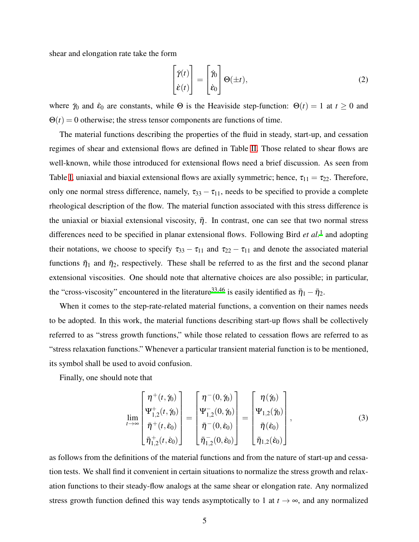shear and elongation rate take the form

<span id="page-4-0"></span>
$$
\begin{bmatrix} \dot{\gamma}(t) \\ \dot{\varepsilon}(t) \end{bmatrix} = \begin{bmatrix} \dot{\gamma}_0 \\ \dot{\varepsilon}_0 \end{bmatrix} \Theta(\pm t), \tag{2}
$$

where  $\dot{\gamma}_0$  and  $\dot{\epsilon}_0$  are constants, while  $\Theta$  is the Heaviside step-function:  $\Theta(t) = 1$  at  $t \ge 0$  and  $\Theta(t) = 0$  otherwise; the stress tensor components are functions of time.

The material functions describing the properties of the fluid in steady, start-up, and cessation regimes of shear and extensional flows are defined in Table [II.](#page-5-1) Those related to shear flows are well-known, while those introduced for extensional flows need a brief discussion. As seen from Table [I,](#page-3-0) uniaxial and biaxial extensional flows are axially symmetric; hence,  $\tau_{11} = \tau_{22}$ . Therefore, only one normal stress difference, namely,  $\tau_{33} - \tau_{11}$ , needs to be specified to provide a complete rheological description of the flow. The material function associated with this stress difference is the uniaxial or biaxial extensional viscosity,  $\bar{\eta}$ . In contrast, one can see that two normal stress differences need to be specified in planar extensional flows. Following Bird *et al.*[1](#page-33-0) and adopting their notations, we choose to specify  $\tau_{33} - \tau_{11}$  and  $\tau_{22} - \tau_{11}$  and denote the associated material functions  $\bar{\eta}_1$  and  $\bar{\eta}_2$ , respectively. These shall be referred to as the first and the second planar extensional viscosities. One should note that alternative choices are also possible; in particular, the "cross-viscosity" encountered in the literature<sup>[33](#page-35-5)[,46](#page-36-7)</sup> is easily identified as  $\bar{\eta}_1 - \bar{\eta}_2$ .

When it comes to the step-rate-related material functions, a convention on their names needs to be adopted. In this work, the material functions describing start-up flows shall be collectively referred to as "stress growth functions," while those related to cessation flows are referred to as "stress relaxation functions." Whenever a particular transient material function is to be mentioned, its symbol shall be used to avoid confusion.

Finally, one should note that

$$
\lim_{t \to \infty} \begin{bmatrix} \eta^+(t, \dot{\gamma}_0) \\ \Psi^+_{1,2}(t, \dot{\gamma}_0) \\ \bar{\eta}^+(t, \dot{\epsilon}_0) \\ \bar{\eta}^+_{1,2}(t, \dot{\epsilon}_0) \end{bmatrix} = \begin{bmatrix} \eta^-(0, \dot{\gamma}_0) \\ \Psi^-_{1,2}(0, \dot{\gamma}_0) \\ \bar{\eta}^-(0, \dot{\epsilon}_0) \\ \bar{\eta}^-_{1,2}(0, \dot{\epsilon}_0) \end{bmatrix} = \begin{bmatrix} \eta(\dot{\gamma}_0) \\ \Psi_{1,2}(\dot{\gamma}_0) \\ \bar{\eta}(\dot{\epsilon}_0) \\ \bar{\eta}_{1,2}(\dot{\epsilon}_0) \end{bmatrix},
$$
\n(3)

as follows from the definitions of the material functions and from the nature of start-up and cessation tests. We shall find it convenient in certain situations to normalize the stress growth and relaxation functions to their steady-flow analogs at the same shear or elongation rate. Any normalized stress growth function defined this way tends asymptotically to 1 at  $t \to \infty$ , and any normalized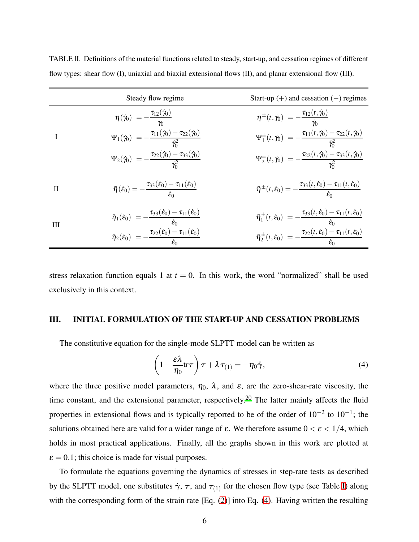|              | Steady flow regime                                                                                                                                                                                                                                                                             | Start-up $(+)$ and cessation $(-)$ regimes                                                                                                                                                                                                                                                 |
|--------------|------------------------------------------------------------------------------------------------------------------------------------------------------------------------------------------------------------------------------------------------------------------------------------------------|--------------------------------------------------------------------------------------------------------------------------------------------------------------------------------------------------------------------------------------------------------------------------------------------|
|              | $\eta(\v y_0) = -\frac{\tau_{12}(\v y_0)}{\v y_0}$                                                                                                                                                                                                                                             | $\eta^{\pm}(t,\dot{\gamma}_0) = -\frac{\tau_{12}(t,\dot{\gamma}_0)}{\dot{\gamma}_0}$                                                                                                                                                                                                       |
| I            | $\displaystyle \Psi_1(\dot\gamma_0)\,=\,-\frac{\tau_{11}(\dot\gamma_0)-\tau_{22}(\dot\gamma_0)}{\dot\gamma_\alpha^2}$                                                                                                                                                                          | $\Psi^{\pm}_1(t,\dot\eta_0) = -\frac{\tau_{11}(t,\dot\eta_0)-\tau_{22}(t,\dot\eta_0)}{\dot\gamma^2_{\alpha}}$                                                                                                                                                                              |
|              | $\Psi_2(\dot\gamma_0)\;=-\frac{\tau_{22}(\dot\gamma_0)-\tau_{33}(\dot\gamma_0)}{\dot\gamma^2}$                                                                                                                                                                                                 | $\Psi^{\pm}_2(t, \dot \gamma_0) \; = - \frac{\tau_{22}(t, \dot \gamma_0) - \tau_{33}(t, \dot \gamma_0)}{\dot \gamma^2}$                                                                                                                                                                    |
| $\mathbf{H}$ | $\bar{\eta}(\dot{\varepsilon}_0) = -\frac{\tau_{33}(\varepsilon_0) - \tau_{11}(\dot{\varepsilon}_0)}{\dot{\varepsilon}_0}$                                                                                                                                                                     | $\bar{\eta}^{\pm}(t,\dot{\epsilon}_0) = -\frac{\tau_{33}(t,\dot{\epsilon}_0) - \tau_{11}(t,\dot{\epsilon}_0)}{\dot{\epsilon}}$                                                                                                                                                             |
| III          | $\begin{split} \bar{\eta}_1(\dot{\varepsilon}_0)\ &= -\frac{\tau_{33}(\dot{\varepsilon}_0)-\tau_{11}(\dot{\varepsilon}_0)}{\dot{\varepsilon}_0}\ \bar{\eta}_2(\dot{\varepsilon}_0)\ &= -\frac{\tau_{22}(\dot{\varepsilon}_0)-\tau_{11}(\dot{\varepsilon}_0)}{\dot{\varepsilon}_0} \end{split}$ | $\begin{split} \bar{\eta}_1^\pm(t,\dot{\epsilon}_0)\ &= -\frac{\tau_{33}(t,\dot{\epsilon}_0)-\tau_{11}(t,\dot{\epsilon}_0)}{\dot{\epsilon}_0}\ \bar{\eta}_2^\pm(t,\dot{\epsilon}_0)\ &= -\frac{\tau_{22}(t,\dot{\epsilon}_0)-\tau_{11}(t,\dot{\epsilon}_0)}{\dot{\epsilon}_0} \end{split}$ |
|              |                                                                                                                                                                                                                                                                                                |                                                                                                                                                                                                                                                                                            |

<span id="page-5-1"></span>TABLE II. Definitions of the material functions related to steady, start-up, and cessation regimes of different flow types: shear flow (I), uniaxial and biaxial extensional flows (II), and planar extensional flow (III).

stress relaxation function equals 1 at  $t = 0$ . In this work, the word "normalized" shall be used exclusively in this context.

### <span id="page-5-0"></span>III. INITIAL FORMULATION OF THE START-UP AND CESSATION PROBLEMS

The constitutive equation for the single-mode SLPTT model can be written as

<span id="page-5-2"></span>
$$
\left(1 - \frac{\varepsilon \lambda}{\eta_0} \text{tr}\tau\right) \tau + \lambda \tau_{(1)} = -\eta_0 \dot{\gamma},\tag{4}
$$

where the three positive model parameters,  $\eta_0$ ,  $\lambda$ , and  $\varepsilon$ , are the zero-shear-rate viscosity, the time constant, and the extensional parameter, respectively.<sup>[20](#page-34-7)</sup> The latter mainly affects the fluid properties in extensional flows and is typically reported to be of the order of  $10^{-2}$  to  $10^{-1}$ ; the solutions obtained here are valid for a wider range of  $\varepsilon$ . We therefore assume  $0 < \varepsilon < 1/4$ , which holds in most practical applications. Finally, all the graphs shown in this work are plotted at  $\varepsilon = 0.1$ ; this choice is made for visual purposes.

To formulate the equations governing the dynamics of stresses in step-rate tests as described by the SLPTT model, one substitutes  $\dot{\gamma}$ ,  $\tau$ , and  $\tau_{(1)}$  for the chosen flow type (see Table [I\)](#page-3-0) along with the corresponding form of the strain rate [Eq. [\(2\)](#page-4-0)] into Eq. [\(4\)](#page-5-2). Having written the resulting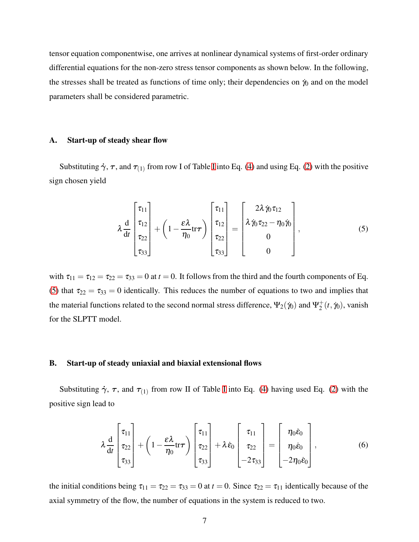tensor equation componentwise, one arrives at nonlinear dynamical systems of first-order ordinary differential equations for the non-zero stress tensor components as shown below. In the following, the stresses shall be treated as functions of time only; their dependencies on  $\dot{\gamma}_0$  and on the model parameters shall be considered parametric.

#### A. Start-up of steady shear flow

Substituting  $\dot{\gamma}$ ,  $\tau$ , and  $\tau_{(1)}$  from row [I](#page-3-0) of Table I into Eq. [\(4\)](#page-5-2) and using Eq. [\(2\)](#page-4-0) with the positive sign chosen yield

<span id="page-6-0"></span>
$$
\lambda \frac{d}{dt} \begin{bmatrix} \tau_{11} \\ \tau_{12} \\ \tau_{22} \\ \tau_{33} \end{bmatrix} + \left(1 - \frac{\varepsilon \lambda}{\eta_0} \text{tr} \tau \right) \begin{bmatrix} \tau_{11} \\ \tau_{12} \\ \tau_{22} \\ \tau_{33} \end{bmatrix} = \begin{bmatrix} 2\lambda \dot{\gamma}_0 \tau_{12} \\ \lambda \dot{\gamma}_0 \tau_{22} - \eta_0 \dot{\gamma}_0 \\ 0 \\ 0 \end{bmatrix}, \qquad (5)
$$

with  $\tau_{11} = \tau_{12} = \tau_{22} = \tau_{33} = 0$  at  $t = 0$ . It follows from the third and the fourth components of Eq. [\(5\)](#page-6-0) that  $\tau_{22} = \tau_{33} = 0$  identically. This reduces the number of equations to two and implies that the material functions related to the second normal stress difference,  $\Psi_2(\dot{\gamma}_0)$  and  $\Psi_2^+$  $i_2^+(t, \dot{\gamma}_0)$ , vanish for the SLPTT model.

#### B. Start-up of steady uniaxial and biaxial extensional flows

Substituting  $\dot{\gamma}$ ,  $\tau$ , and  $\tau_{(1)}$  from row [I](#page-3-0)I of Table I into Eq. [\(4\)](#page-5-2) having used Eq. [\(2\)](#page-4-0) with the positive sign lead to

<span id="page-6-1"></span>
$$
\lambda \frac{\mathrm{d}}{\mathrm{d}t} \begin{bmatrix} \tau_{11} \\ \tau_{22} \\ \tau_{33} \end{bmatrix} + \left(1 - \frac{\varepsilon \lambda}{\eta_0} \mathrm{tr} \tau \right) \begin{bmatrix} \tau_{11} \\ \tau_{22} \\ \tau_{33} \end{bmatrix} + \lambda \dot{\varepsilon}_0 \begin{bmatrix} \tau_{11} \\ \tau_{22} \\ -2\tau_{33} \end{bmatrix} = \begin{bmatrix} \eta_0 \dot{\varepsilon}_0 \\ \eta_0 \dot{\varepsilon}_0 \\ -2\eta_0 \dot{\varepsilon}_0 \end{bmatrix}, \tag{6}
$$

the initial conditions being  $\tau_{11} = \tau_{22} = \tau_{33} = 0$  at  $t = 0$ . Since  $\tau_{22} = \tau_{11}$  identically because of the axial symmetry of the flow, the number of equations in the system is reduced to two.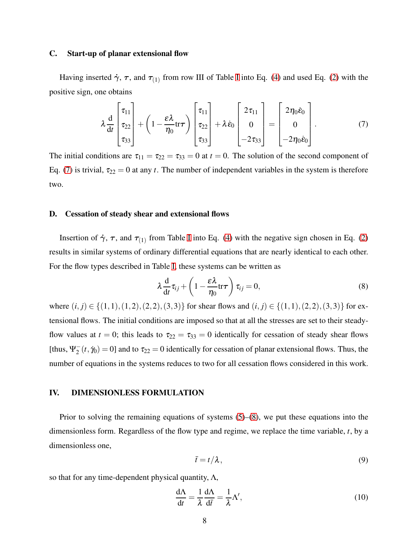#### C. Start-up of planar extensional flow

Having inserted  $\dot{\gamma}$ ,  $\tau$ , and  $\tau_{(1)}$  from row [I](#page-3-0)II of Table I into Eq. [\(4\)](#page-5-2) and used Eq. [\(2\)](#page-4-0) with the positive sign, one obtains

<span id="page-7-1"></span>
$$
\lambda \frac{d}{dt} \begin{bmatrix} \tau_{11} \\ \tau_{22} \\ \tau_{33} \end{bmatrix} + \left(1 - \frac{\varepsilon \lambda}{\eta_0} \text{tr} \tau \right) \begin{bmatrix} \tau_{11} \\ \tau_{22} \\ \tau_{33} \end{bmatrix} + \lambda \dot{\varepsilon}_0 \begin{bmatrix} 2\tau_{11} \\ 0 \\ -2\tau_{33} \end{bmatrix} = \begin{bmatrix} 2\eta_0 \dot{\varepsilon}_0 \\ 0 \\ -2\eta_0 \dot{\varepsilon}_0 \end{bmatrix} . \tag{7}
$$

The initial conditions are  $\tau_{11} = \tau_{22} = \tau_{33} = 0$  at  $t = 0$ . The solution of the second component of Eq. [\(7\)](#page-7-1) is trivial,  $\tau_{22} = 0$  at any *t*. The number of independent variables in the system is therefore two.

### D. Cessation of steady shear and extensional flows

Insertion of  $\dot{\gamma}$ ,  $\tau$ , and  $\tau_{(1)}$  from Table [I](#page-3-0) into Eq. [\(4\)](#page-5-2) with the negative sign chosen in Eq. [\(2\)](#page-4-0) results in similar systems of ordinary differential equations that are nearly identical to each other. For the flow types described in Table [I,](#page-3-0) these systems can be written as

<span id="page-7-2"></span>
$$
\lambda \frac{d}{dt} \tau_{ij} + \left(1 - \frac{\varepsilon \lambda}{\eta_0} tr \tau \right) \tau_{ij} = 0, \tag{8}
$$

where  $(i, j) \in \{(1, 1), (1, 2), (2, 2), (3, 3)\}$  for shear flows and  $(i, j) \in \{(1, 1), (2, 2), (3, 3)\}$  for extensional flows. The initial conditions are imposed so that at all the stresses are set to their steadyflow values at  $t = 0$ ; this leads to  $\tau_{22} = \tau_{33} = 0$  identically for cessation of steady shear flows [thus,  $\Psi_2^-(t, \gamma_0) = 0$ ] and to  $\tau_{22} = 0$  identically for cessation of planar extensional flows. Thus, the number of equations in the systems reduces to two for all cessation flows considered in this work.

# <span id="page-7-0"></span>IV. DIMENSIONLESS FORMULATION

Prior to solving the remaining equations of systems [\(5\)](#page-6-0)–[\(8\)](#page-7-2), we put these equations into the dimensionless form. Regardless of the flow type and regime, we replace the time variable, *t*, by a dimensionless one,

$$
\bar{t} = t/\lambda, \tag{9}
$$

so that for any time-dependent physical quantity,  $\Lambda$ ,

$$
\frac{d\Lambda}{dt} = \frac{1}{\lambda} \frac{d\Lambda}{d\bar{t}} = \frac{1}{\lambda} \Lambda',\tag{10}
$$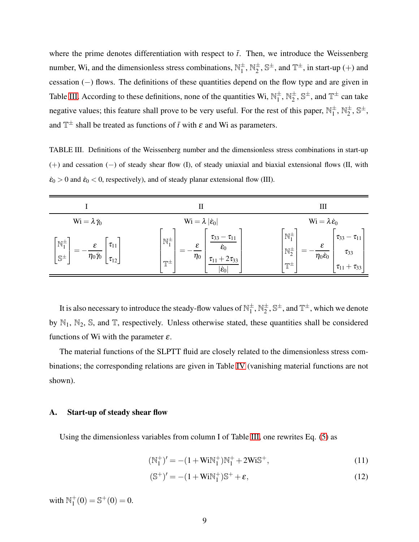where the prime denotes differentiation with respect to  $\bar{t}$ . Then, we introduce the Weissenberg number, Wi, and the dimensionless stress combinations,  $\mathbb{N}_1^{\pm}$ ,  $\mathbb{N}_2^{\pm}$ ,  $\mathbb{S}^{\pm}$ , and  $\mathbb{T}^{\pm}$ , in start-up (+) and cessation (−) flows. The definitions of these quantities depend on the flow type and are given in Table [III.](#page-8-0) According to these definitions, none of the quantities Wi,  $\mathbb{N}_1^{\pm}$ ,  $\mathbb{N}_2^{\pm}$ ,  $\mathbb{S}^{\pm}$ , and  $\mathbb{T}^{\pm}$  can take negative values; this feature shall prove to be very useful. For the rest of this paper,  $\mathbb{N}_1^{\pm}$ ,  $\mathbb{N}_2^{\pm}$ ,  $\mathbb{S}^{\pm}$ , and  $\mathbb{T}^{\pm}$  shall be treated as functions of  $\bar{t}$  with  $\varepsilon$  and Wi as parameters.

<span id="page-8-0"></span>TABLE III. Definitions of the Weissenberg number and the dimensionless stress combinations in start-up (+) and cessation (−) of steady shear flow (I), of steady uniaxial and biaxial extensional flows (II, with  $\dot{\epsilon}_0 > 0$  and  $\dot{\epsilon}_0 < 0$ , respectively), and of steady planar extensional flow (III).

|                                                                                                                     | П                                                                                                                                                                                | Ш                                                                                                                                                                     |
|---------------------------------------------------------------------------------------------------------------------|----------------------------------------------------------------------------------------------------------------------------------------------------------------------------------|-----------------------------------------------------------------------------------------------------------------------------------------------------------------------|
| $\mathrm{Wi} = \lambda \, \dot{\gamma}_0$                                                                           | $Wi = \lambda  \dot{\epsilon}_0 $                                                                                                                                                | $Wi = \lambda \dot{\varepsilon}_0$                                                                                                                                    |
| $\mathbb{N}_1^{\pm}$<br>$\tau_{11}$<br>$\varepsilon$<br>$\eta_0\dot{\gamma}_0$<br>$\mathbb{S}^{\pm}$<br>$\tau_{12}$ | $\tau_{33} - \tau_{11}$<br>$\mathbb{N}_1^{\pm}$<br>$\varepsilon$<br>$\dot{\mathcal{E}}_0$<br>$\eta_0$<br>$\tau_{11} + 2\tau_{33}$<br>$\mathbb{T}^\pm$<br>$ \dot{\mathcal{E}}_0 $ | $\mathbb{N}_1^{\pm}$<br>$\tau_{33} - \tau_{11}$<br>ε<br>$N_{2}^{\pm}$<br>$\tau_{33}$<br>$\eta_0 \dot{\varepsilon}_0$<br>$\mathbb{T}^{\pm}$<br>$\tau_{11} + \tau_{33}$ |

It is also necessary to introduce the steady-flow values of  $\mathbb{N}_1^\pm, \mathbb{N}_2^\pm, \mathbb{S}^\pm,$  and  $\mathbb{T}^\pm,$  which we denote by  $\mathbb{N}_1$ ,  $\mathbb{N}_2$ ,  $\mathbb{S}$ , and  $\mathbb{T}$ , respectively. Unless otherwise stated, these quantities shall be considered functions of Wi with the parameter  $\varepsilon$ .

The material functions of the SLPTT fluid are closely related to the dimensionless stress combinations; the corresponding relations are given in Table [IV](#page-9-0) (vanishing material functions are not shown).

#### A. Start-up of steady shear flow

 $($ 

Using the dimensionless variables from column I of Table [III,](#page-8-0) one rewrites Eq. [\(5\)](#page-6-0) as

<span id="page-8-2"></span><span id="page-8-1"></span>
$$
(\mathbb{N}_1^+)' = -(1 + \text{WiN}_1^+) \mathbb{N}_1^+ + 2 \text{WiS}^+, \tag{11}
$$

$$
(\mathbb{S}^+)' = -(1 + \text{WiN}_1^+) \mathbb{S}^+ + \varepsilon,\tag{12}
$$

with  $\mathbb{N}_1^+$  $_{1}^{+}(0) = \mathbb{S}^{+}(0) = 0.$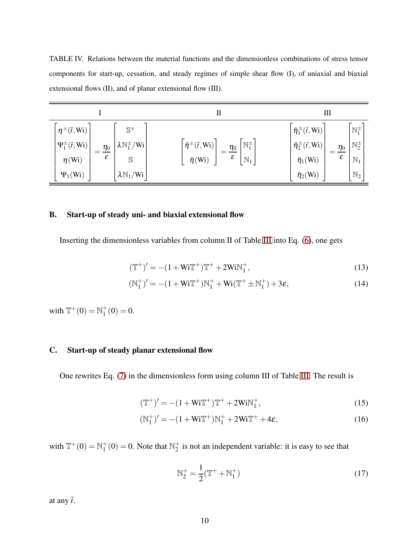<span id="page-9-0"></span>TABLE IV. Relations between the material functions and the dimensionless combinations of stress tensor components for start-up, cessation, and steady regimes of simple shear flow (I), of uniaxial and biaxial extensional flows (II), and of planar extensional flow (III).

|                                                                                                                                                                                                                                     | П                                                                                                                                                        | Ш                                                                                                                                                                                                                                                                                         |
|-------------------------------------------------------------------------------------------------------------------------------------------------------------------------------------------------------------------------------------|----------------------------------------------------------------------------------------------------------------------------------------------------------|-------------------------------------------------------------------------------------------------------------------------------------------------------------------------------------------------------------------------------------------------------------------------------------------|
| $\eta^{\pm}(\bar{t},W_i)$<br>$\mathbb{S}^{\pm}$<br>$\Psi_1^{\pm}(\bar t, W_1)$<br>$\lambda\,\mathbb{N}_1^\pm/\mathrm{Wi}\,$<br>$\frac{\eta_0}{\eta_0}$<br>ε<br>$\eta$ (Wi)<br>S<br>$\lambda\mathbb{N}_1/\text{Wi}$<br>$\Psi_1(W_i)$ | $\mathbb{N}_1^{\pm}$<br>$\bar{\eta}^{\pm}(\bar{t},W_i)$<br>$=\frac{\eta_0}{\eta_0}$<br>$\boldsymbol{\varepsilon}$<br>$\mathbb{N}_1$<br>$\bar{\eta}$ (Wi) | $\mathbb{N}_1^{\pm}$<br>$\bar{\eta}_1^{\,\pm}(\bar{t},\text{Wi})$<br>$\mathbb{N}_2^{\pm}$<br>$\bar{\eta}_2^{\,\pm}(\bar{t},\text{Wi})$<br>$\frac{\eta_0}{\eta_0}$<br>$\boldsymbol{\varepsilon}$<br>$\mathbb{N}_1$<br>$\bar{\eta}_1(\rm{Wi})$<br>$\mathbb{N}_2$<br>$\bar{\eta}_2(\rm{Wi})$ |

## B. Start-up of steady uni- and biaxial extensional flow

Inserting the dimensionless variables from column II of Table [III](#page-8-0) into Eq. [\(6\)](#page-6-1), one gets

<span id="page-9-3"></span><span id="page-9-2"></span>
$$
(\mathbb{T}^+)' = -(1 + \mathbf{W}i\mathbb{T}^+) \mathbb{T}^+ + 2\mathbf{W}i\mathbb{N}_1^+, \tag{13}
$$

$$
(\mathbb{N}_1^+)' = -(1 + \text{WiT}^+) \mathbb{N}_1^+ + \text{Wi}(\mathbb{T}^+ \pm \mathbb{N}_1^+) + 3\varepsilon,
$$
\n(14)

with  $\mathbb{T}^{+}(0) = \mathbb{N}_{1}^{+}$  $_1^+(0)=0.$ 

# C. Start-up of steady planar extensional flow

One rewrites Eq. [\(7\)](#page-7-1) in the dimensionless form using column III of Table [III.](#page-8-0) The result is

$$
(\mathbb{T}^+)' = -(1 + Wi\mathbb{T}^+) \mathbb{T}^+ + 2 Wi\mathbb{N}_1^+, \tag{15}
$$

$$
(\mathbb{N}_1^+)' = -(1 + \mathbf{W}i\mathbb{T}^+) \mathbb{N}_1^+ + 2\mathbf{W}i\mathbb{T}^+ + 4\varepsilon, \tag{16}
$$

with  $\mathbb{T}^{+}(0) = \mathbb{N}_{1}^{+}$  $_{1}^{+}(0) = 0$ . Note that  $\mathbb{N}_{2}^{+}$  $_2^+$  is not an independent variable: it is easy to see that

<span id="page-9-5"></span><span id="page-9-4"></span><span id="page-9-1"></span>
$$
N_2^+ = \frac{1}{2}(\mathbb{T}^+ + \mathbb{N}_1^+) \tag{17}
$$

at any  $\bar{t}$ .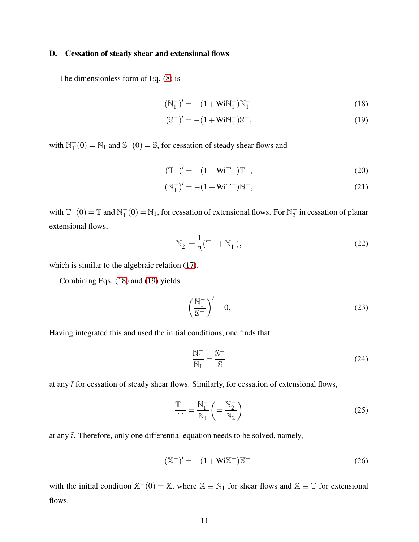## D. Cessation of steady shear and extensional flows

The dimensionless form of Eq. [\(8\)](#page-7-2) is

<span id="page-10-0"></span>
$$
(\mathbb{N}_1^-)' = -(1 + \mathbf{WiN}_1^-)\mathbb{N}_1^-, \tag{18}
$$

<span id="page-10-1"></span>
$$
(\mathbb{S}^{-})' = -(1 + Wi \mathbb{N}_{1}^{-}) \mathbb{S}^{-}, \tag{19}
$$

with  $\mathbb{N}_1^-(0) = \mathbb{N}_1$  and  $\mathbb{S}^-(0) = \mathbb{S}$ , for cessation of steady shear flows and

$$
(\mathbb{T}^{-})' = -(1 + \text{WiT}^{-})\mathbb{T}^{-}, \qquad (20)
$$

$$
(\mathbb{N}_1^-)' = -(1 + \mathbf{Wi}\mathbb{T}^-)\mathbb{N}_1^-,
$$
\n(21)

with  $T^{-}(0) = T$  and  $N_1^{-}(0) = N_1$ , for cessation of extensional flows. For  $N_2^{-}$  in cessation of planar extensional flows,

$$
N_2^- = \frac{1}{2} (\mathbb{T}^- + \mathbb{N}_1^-), \tag{22}
$$

which is similar to the algebraic relation [\(17\)](#page-9-1).

Combining Eqs. [\(18\)](#page-10-0) and [\(19\)](#page-10-1) yields

$$
\left(\frac{\mathbb{N}_1^-}{\mathbb{S}^-}\right)' = 0,\tag{23}
$$

Having integrated this and used the initial conditions, one finds that

<span id="page-10-3"></span>
$$
\frac{N_1^-}{N_1} = \frac{S^-}{S}
$$
 (24)

at any  $\bar{t}$  for cessation of steady shear flows. Similarly, for cessation of extensional flows,

<span id="page-10-4"></span>
$$
\frac{\mathbb{T}^{-}}{\mathbb{T}} = \frac{\mathbb{N}_{1}^{-}}{\mathbb{N}_{1}} \left( = \frac{\mathbb{N}_{2}^{-}}{\mathbb{N}_{2}} \right)
$$
\n(25)

at any  $\bar{t}$ . Therefore, only one differential equation needs to be solved, namely,

<span id="page-10-2"></span>
$$
(\mathbb{X}^{-})' = -(1 + \text{Wi}\mathbb{X}^{-})\mathbb{X}^{-},\tag{26}
$$

with the initial condition  $\mathbb{X}^-(0) = \mathbb{X}$ , where  $\mathbb{X} \equiv \mathbb{N}_1$  for shear flows and  $\mathbb{X} \equiv \mathbb{T}$  for extensional flows.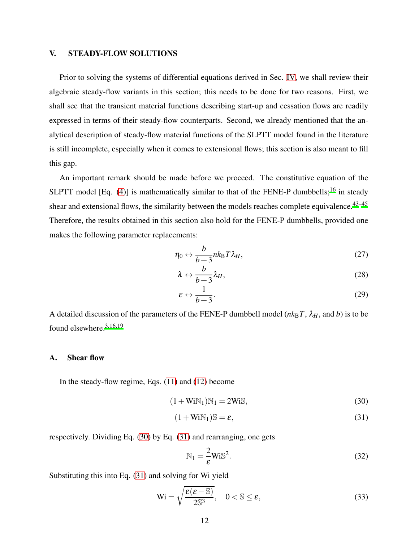# <span id="page-11-0"></span>V. STEADY-FLOW SOLUTIONS

Prior to solving the systems of differential equations derived in Sec. [IV,](#page-7-0) we shall review their algebraic steady-flow variants in this section; this needs to be done for two reasons. First, we shall see that the transient material functions describing start-up and cessation flows are readily expressed in terms of their steady-flow counterparts. Second, we already mentioned that the analytical description of steady-flow material functions of the SLPTT model found in the literature is still incomplete, especially when it comes to extensional flows; this section is also meant to fill this gap.

An important remark should be made before we proceed. The constitutive equation of the SLPTT model [Eq.  $(4)$ ] is mathematically similar to that of the FENE-P dumbbells;<sup>[16](#page-34-5)</sup> in steady shear and extensional flows, the similarity between the models reaches complete equivalence.<sup>[43](#page-36-5)-45</sup> Therefore, the results obtained in this section also hold for the FENE-P dumbbells, provided one makes the following parameter replacements:

$$
\eta_0 \leftrightarrow \frac{b}{b+3} n k_{\rm B} T \lambda_H, \tag{27}
$$

$$
\lambda \leftrightarrow \frac{b}{b+3} \lambda_H, \tag{28}
$$

$$
\varepsilon \leftrightarrow \frac{1}{b+3}.\tag{29}
$$

A detailed discussion of the parameters of the FENE-P dumbbell model  $(nk_BT, \lambda_H,$  and *b*) is to be found elsewhere.[3](#page-33-2)[,16](#page-34-5)[,19](#page-34-6)

## A. Shear flow

In the steady-flow regime, Eqs. [\(11\)](#page-8-1) and [\(12\)](#page-8-2) become

$$
(1 + WiN1)N1 = 2WiS,
$$
\n(30)

$$
(1 + WiN1)S = \varepsilon,
$$
\n(31)

respectively. Dividing Eq. [\(30\)](#page-11-1) by Eq. [\(31\)](#page-11-2) and rearranging, one gets

<span id="page-11-4"></span><span id="page-11-2"></span><span id="page-11-1"></span>
$$
N_1 = \frac{2}{\varepsilon} W i S^2.
$$
 (32)

Substituting this into Eq. [\(31\)](#page-11-2) and solving for Wi yield

<span id="page-11-3"></span>
$$
\text{Wi} = \sqrt{\frac{\varepsilon(\varepsilon - \mathbb{S})}{2\mathbb{S}^3}}, \quad 0 < \mathbb{S} \le \varepsilon,
$$
\n(33)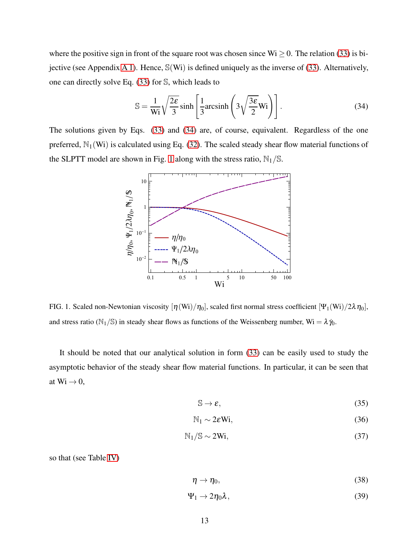where the positive sign in front of the square root was chosen since  $Wi \ge 0$ . The relation [\(33\)](#page-11-3) is bijective (see Appendix [A 1\)](#page-27-1). Hence, S(Wi) is defined uniquely as the inverse of [\(33\)](#page-11-3). Alternatively, one can directly solve Eq. [\(33\)](#page-11-3) for S, which leads to

<span id="page-12-0"></span>
$$
\mathbb{S} = \frac{1}{\text{Wi}} \sqrt{\frac{2\epsilon}{3}} \sinh\left[\frac{1}{3} \text{arcsinh}\left(3\sqrt{\frac{3\epsilon}{2}} \text{Wi}\right)\right].
$$
 (34)

The solutions given by Eqs. [\(33\)](#page-11-3) and [\(34\)](#page-12-0) are, of course, equivalent. Regardless of the one preferred,  $\mathbb{N}_1(\mathbf{W})$  is calculated using Eq. [\(32\)](#page-11-4). The scaled steady shear flow material functions of the SLPTT model are shown in Fig. [1](#page-12-1) along with the stress ratio,  $\mathbb{N}_1/\mathbb{S}$ .



<span id="page-12-1"></span>FIG. 1. Scaled non-Newtonian viscosity  $[\eta(\text{Wi})/\eta_0]$ , scaled first normal stress coefficient  $[\Psi_1(\text{Wi})/2\lambda\eta_0]$ , and stress ratio ( $\mathbb{N}_1/\mathbb{S}$ ) in steady shear flows as functions of the Weissenberg number, Wi =  $\lambda \dot{\gamma}_0$ .

It should be noted that our analytical solution in form [\(33\)](#page-11-3) can be easily used to study the asymptotic behavior of the steady shear flow material functions. In particular, it can be seen that at  $Wi \rightarrow 0$ ,

$$
\mathbb{S} \to \varepsilon,\tag{35}
$$

$$
\mathbb{N}_1 \sim 2\varepsilon \mathbb{W}i,\tag{36}
$$

$$
N_1/S \sim 2Wi, \tag{37}
$$

so that (see Table [IV\)](#page-9-0)

$$
\eta \to \eta_0,\tag{38}
$$

$$
\Psi_1 \to 2\eta_0 \lambda, \tag{39}
$$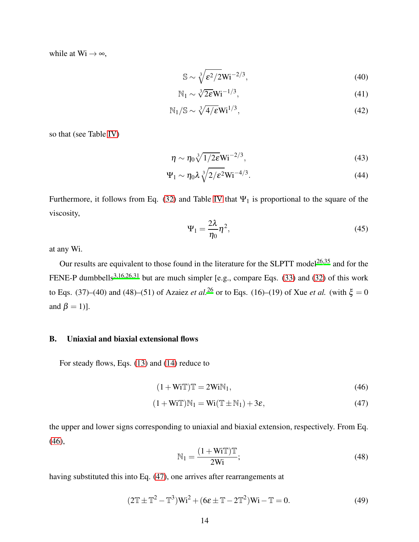while at  $Wi \rightarrow \infty$ ,

$$
\mathbb{S} \sim \sqrt[3]{\varepsilon^2 / 2W} \mathbf{i}^{-2/3},\tag{40}
$$

$$
\mathbb{N}_1 \sim \sqrt[3]{2\varepsilon} \mathbf{Wi}^{-1/3},\tag{41}
$$

$$
N_1/S \sim \sqrt[3]{4/\epsilon} W i^{1/3},\tag{42}
$$

so that (see Table [IV\)](#page-9-0)

$$
\eta \sim \eta_0 \sqrt[3]{1/2\varepsilon} W i^{-2/3},\tag{43}
$$

$$
\Psi_1 \sim \eta_0 \lambda \sqrt[3]{2/\varepsilon^2} W i^{-4/3}.
$$
\n(44)

Furthermore, it follows from Eq. [\(32\)](#page-11-4) and Table [IV](#page-9-0) that  $\Psi_1$  is proportional to the square of the viscosity,

$$
\Psi_1 = \frac{2\lambda}{\eta_0} \eta^2,\tag{45}
$$

at any Wi.

Our results are equivalent to those found in the literature for the SLPTT model<sup>[26](#page-35-3)[,35](#page-35-7)</sup> and for the FENE-P dumbbells<sup>[3](#page-33-2)[,16](#page-34-5)[,26](#page-35-3)[,31](#page-35-9)</sup> but are much simpler [e.g., compare Eqs. [\(33\)](#page-11-3) and [\(32\)](#page-11-4) of this work to Eqs. (37)–(40) and (48)–(51) of Azaiez *et al.*<sup>[26](#page-35-3)</sup> or to Eqs. (16)–(19) of Xue *et al.* (with  $\xi = 0$ and  $\beta = 1$ ].

# <span id="page-13-4"></span>B. Uniaxial and biaxial extensional flows

For steady flows, Eqs. [\(13\)](#page-9-2) and [\(14\)](#page-9-3) reduce to

$$
(1 + WiT)T = 2WiN1,
$$
\n(46)

$$
(1 + WiT) \mathbb{N}_1 = Wi(T \pm \mathbb{N}_1) + 3\varepsilon,
$$
\n(47)

the upper and lower signs corresponding to uniaxial and biaxial extension, respectively. From Eq. [\(46\)](#page-13-0),

<span id="page-13-3"></span><span id="page-13-1"></span><span id="page-13-0"></span>
$$
\mathbb{N}_1 = \frac{(1 + \text{WiT})\mathbb{T}}{2\text{Wi}};
$$
\n(48)

having substituted this into Eq. [\(47\)](#page-13-1), one arrives after rearrangements at

<span id="page-13-2"></span>
$$
(2\mathbb{T}\pm\mathbb{T}^2-\mathbb{T}^3)Wi^2+(6\varepsilon\pm\mathbb{T}-2\mathbb{T}^2)Wi-\mathbb{T}=0.
$$
\n(49)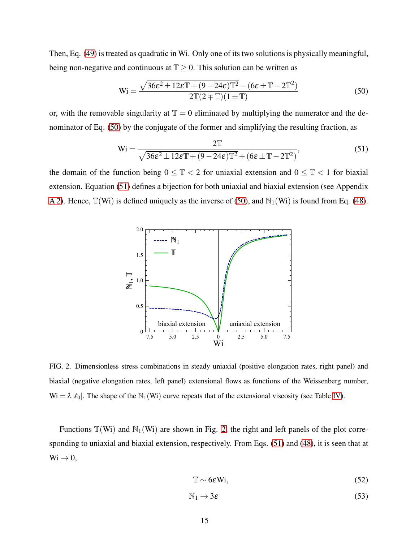Then, Eq. [\(49\)](#page-13-2) is treated as quadratic in Wi. Only one of its two solutions is physically meaningful, being non-negative and continuous at  $\mathbb{T} \geq 0$ . This solution can be written as

<span id="page-14-0"></span>
$$
\text{Wi} = \frac{\sqrt{36\epsilon^2 \pm 12\epsilon \mathbb{T} + (9 - 24\epsilon)\mathbb{T}^2} - (6\epsilon \pm \mathbb{T} - 2\mathbb{T}^2)}{2\mathbb{T}(2 \mp \mathbb{T})(1 \pm \mathbb{T})}
$$
(50)

or, with the removable singularity at  $\mathbb{T} = 0$  eliminated by multiplying the numerator and the denominator of Eq. [\(50\)](#page-14-0) by the conjugate of the former and simplifying the resulting fraction, as

<span id="page-14-1"></span>
$$
\text{Wi} = \frac{2\mathbb{T}}{\sqrt{36\epsilon^2 \pm 12\epsilon\mathbb{T} + (9 - 24\epsilon)\mathbb{T}^2 + (6\epsilon \pm \mathbb{T} - 2\mathbb{T}^2)}},\tag{51}
$$

the domain of the function being  $0 \leq \mathbb{T} < 2$  for uniaxial extension and  $0 \leq \mathbb{T} < 1$  for biaxial extension. Equation [\(51\)](#page-14-1) defines a bijection for both uniaxial and biaxial extension (see Appendix [A 2\)](#page-27-2). Hence,  $\mathbb{T}(W_i)$  is defined uniquely as the inverse of [\(50\)](#page-14-0), and  $\mathbb{N}_1(W_i)$  is found from Eq. [\(48\)](#page-13-3).



<span id="page-14-2"></span>FIG. 2. Dimensionless stress combinations in steady uniaxial (positive elongation rates, right panel) and biaxial (negative elongation rates, left panel) extensional flows as functions of the Weissenberg number,  $Wi = \lambda |\dot{\varepsilon}_0|$ . The shape of the  $\mathbb{N}_1(Wi)$  curve repeats that of the extensional viscosity (see Table [IV\)](#page-9-0).

Functions  $\mathbb{T}(W_i)$  and  $\mathbb{N}_1(W_i)$  are shown in Fig. [2,](#page-14-2) the right and left panels of the plot corresponding to uniaxial and biaxial extension, respectively. From Eqs. [\(51\)](#page-14-1) and [\(48\)](#page-13-3), it is seen that at  $\text{Wi} \rightarrow 0,$ 

$$
\mathbb{T} \sim 6\varepsilon \text{Wi},\tag{52}
$$

$$
\mathbb{N}_1 \to 3\varepsilon \tag{53}
$$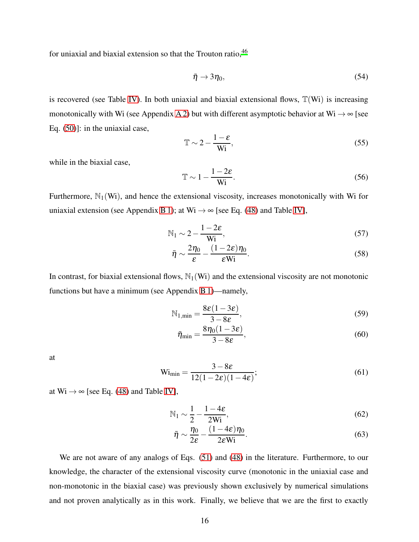for uniaxial and biaxial extension so that the Trouton ratio, <sup>[46](#page-36-7)</sup>

$$
\bar{\eta} \to 3\eta_0,\tag{54}
$$

is recovered (see Table [IV\)](#page-9-0). In both uniaxial and biaxial extensional flows,  $\mathbb{T}(W_i)$  is increasing monotonically with Wi (see Appendix [A 2\)](#page-27-2) but with different asymptotic behavior at Wi  $\rightarrow \infty$  [see Eq. [\(50\)](#page-14-0)]: in the uniaxial case,

$$
\mathbb{T} \sim 2 - \frac{1 - \varepsilon}{\text{Wi}},\tag{55}
$$

while in the biaxial case,

$$
\mathbb{T} \sim 1 - \frac{1 - 2\varepsilon}{Wi}.
$$
\n(56)

Furthermore,  $\mathbb{N}_1(\mathbf{W})$ , and hence the extensional viscosity, increases monotonically with Wi for uniaxial extension (see Appendix [B 1\)](#page-29-0); at Wi  $\rightarrow \infty$  [see Eq. [\(48\)](#page-13-3) and Table [IV\]](#page-9-0),

$$
N_1 \sim 2 - \frac{1 - 2\varepsilon}{Wi},\tag{57}
$$

<span id="page-15-2"></span>
$$
\bar{\eta} \sim \frac{2\eta_0}{\varepsilon} - \frac{(1 - 2\varepsilon)\eta_0}{\varepsilon \text{Wi}}.
$$
\n(58)

In contrast, for biaxial extensional flows,  $\mathbb{N}_1(\mathbb{W})$  and the extensional viscosity are not monotonic functions but have a minimum (see Appendix [B 1\)](#page-29-0)—namely,

$$
N_{1,min} = \frac{8\varepsilon(1-3\varepsilon)}{3-8\varepsilon},\tag{59}
$$

<span id="page-15-0"></span>
$$
\bar{\eta}_{\min} = \frac{8\eta_0(1 - 3\varepsilon)}{3 - 8\varepsilon},\tag{60}
$$

at

<span id="page-15-1"></span>
$$
\text{Wi}_{\text{min}} = \frac{3 - 8\varepsilon}{12(1 - 2\varepsilon)(1 - 4\varepsilon)};
$$
\n(61)

at  $Wi \rightarrow \infty$  [see Eq. [\(48\)](#page-13-3) and Table [IV\]](#page-9-0),

$$
\mathbb{N}_1 \sim \frac{1}{2} - \frac{1 - 4\varepsilon}{2\text{Wi}},\tag{62}
$$

<span id="page-15-3"></span>
$$
\bar{\eta} \sim \frac{\eta_0}{2\varepsilon} - \frac{(1 - 4\varepsilon)\eta_0}{2\varepsilon \text{Wi}}.\tag{63}
$$

We are not aware of any analogs of Eqs. [\(51\)](#page-14-1) and [\(48\)](#page-13-3) in the literature. Furthermore, to our knowledge, the character of the extensional viscosity curve (monotonic in the uniaxial case and non-monotonic in the biaxial case) was previously shown exclusively by numerical simulations and not proven analytically as in this work. Finally, we believe that we are the first to exactly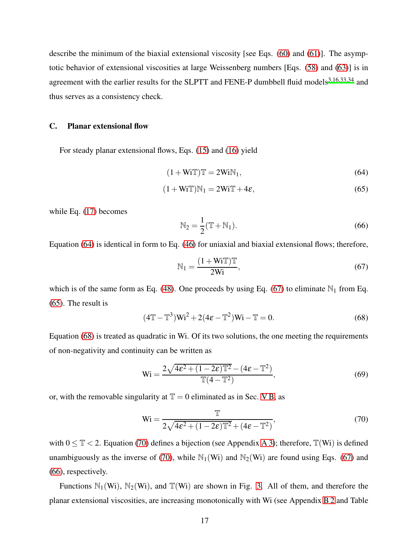describe the minimum of the biaxial extensional viscosity [see Eqs. [\(60\)](#page-15-0) and [\(61\)](#page-15-1)]. The asymptotic behavior of extensional viscosities at large Weissenberg numbers [Eqs. [\(58\)](#page-15-2) and [\(63\)](#page-15-3)] is in agreement with the earlier results for the SLPTT and FENE-P dumbbell fluid models<sup>[3](#page-33-2)[,16](#page-34-5)[,33](#page-35-5)[,34](#page-35-6)</sup> and thus serves as a consistency check.

## C. Planar extensional flow

For steady planar extensional flows, Eqs. [\(15\)](#page-9-4) and [\(16\)](#page-9-5) yield

$$
(1 + WiT)T = 2WiN1,
$$
\n(64)

$$
(1 + WiT)N_1 = 2WiT + 4\varepsilon,
$$
\n(65)

while Eq. [\(17\)](#page-9-1) becomes

<span id="page-16-5"></span><span id="page-16-2"></span><span id="page-16-0"></span>
$$
\mathbb{N}_2 = \frac{1}{2} (\mathbb{T} + \mathbb{N}_1). \tag{66}
$$

Equation [\(64\)](#page-16-0) is identical in form to Eq. [\(46\)](#page-13-0) for uniaxial and biaxial extensional flows; therefore,

<span id="page-16-1"></span>
$$
\mathbb{N}_1 = \frac{(1 + \text{WiT})\mathbb{T}}{2\text{Wi}},\tag{67}
$$

which is of the same form as Eq. [\(48\)](#page-13-3). One proceeds by using Eq. [\(67\)](#page-16-1) to eliminate  $\mathbb{N}_1$  from Eq. [\(65\)](#page-16-2). The result is

<span id="page-16-3"></span>
$$
(4\mathbb{T} - \mathbb{T}^3) \mathbf{W} \mathbf{i}^2 + 2(4\varepsilon - \mathbb{T}^2) \mathbf{W} \mathbf{i} - \mathbb{T} = 0.
$$
 (68)

Equation [\(68\)](#page-16-3) is treated as quadratic in Wi. Of its two solutions, the one meeting the requirements of non-negativity and continuity can be written as

<span id="page-16-6"></span>
$$
\text{Wi} = \frac{2\sqrt{4\epsilon^2 + (1 - 2\epsilon)\mathbb{T}^2} - (4\epsilon - \mathbb{T}^2)}{\mathbb{T}(4 - \mathbb{T}^2)},\tag{69}
$$

or, with the removable singularity at  $\mathbb{T} = 0$  eliminated as in Sec. [V B,](#page-13-4) as

<span id="page-16-4"></span>
$$
\text{Wi} = \frac{\mathbb{T}}{2\sqrt{4\epsilon^2 + (1 - 2\epsilon)\mathbb{T}^2 + (4\epsilon - \mathbb{T}^2)}},\tag{70}
$$

with  $0 \leq T < 2$ . Equation [\(70\)](#page-16-4) defines a bijection (see Appendix [A 3\)](#page-28-0); therefore,  $T(Wi)$  is defined unambiguously as the inverse of [\(70\)](#page-16-4), while  $\mathbb{N}_1(\mathbb{W}_1)$  and  $\mathbb{N}_2(\mathbb{W}_1)$  are found using Eqs. [\(67\)](#page-16-1) and [\(66\)](#page-16-5), respectively.

Functions  $\mathbb{N}_1(\mathbb{W}_1)$ ,  $\mathbb{N}_2(\mathbb{W}_1)$ , and  $\mathbb{T}(\mathbb{W}_1)$  are shown in Fig. [3.](#page-17-0) All of them, and therefore the planar extensional viscosities, are increasing monotonically with Wi (see Appendix [B 2](#page-29-1) and Table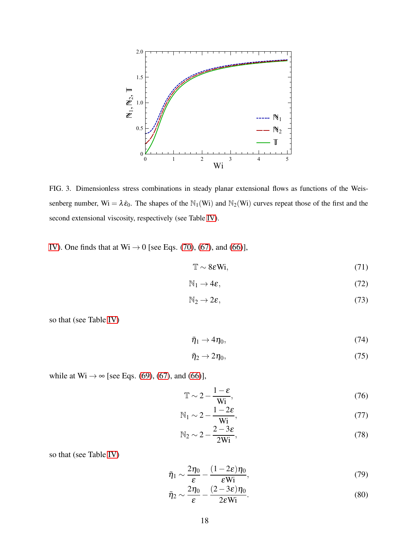

<span id="page-17-0"></span>FIG. 3. Dimensionless stress combinations in steady planar extensional flows as functions of the Weissenberg number,  $Wi = \lambda \dot{\varepsilon}_0$ . The shapes of the  $\mathbb{N}_1(Wi)$  and  $\mathbb{N}_2(Wi)$  curves repeat those of the first and the second extensional viscosity, respectively (see Table [IV\)](#page-9-0).

[IV\)](#page-9-0). One finds that at  $Wi \rightarrow 0$  [see Eqs. [\(70\)](#page-16-4), [\(67\)](#page-16-1), and [\(66\)](#page-16-5)],

$$
\mathbb{T} \sim 8\varepsilon \mathbf{Wi},\tag{71}
$$

$$
\mathbb{N}_1 \to 4\varepsilon, \tag{72}
$$

$$
\mathbb{N}_2 \to 2\varepsilon,\tag{73}
$$

so that (see Table [IV\)](#page-9-0)

<span id="page-17-1"></span>
$$
\bar{\eta}_1 \to 4\eta_0,\tag{74}
$$

<span id="page-17-2"></span>
$$
\bar{\eta}_2 \to 2\eta_0,\tag{75}
$$

while at  $Wi \rightarrow \infty$  [see Eqs. [\(69\)](#page-16-6), [\(67\)](#page-16-1), and [\(66\)](#page-16-5)],

$$
\mathbb{T} \sim 2 - \frac{1 - \varepsilon}{\text{Wi}},\tag{76}
$$

$$
\mathbb{N}_1 \sim 2 - \frac{1 - 2\varepsilon}{\text{Wi}},\tag{77}
$$

<span id="page-17-4"></span><span id="page-17-3"></span>
$$
N_2 \sim 2 - \frac{2 - 3\varepsilon}{2Wi},\tag{78}
$$

so that (see Table [IV\)](#page-9-0)

$$
\bar{\eta}_1 \sim \frac{2\eta_0}{\varepsilon} - \frac{(1 - 2\varepsilon)\eta_0}{\varepsilon \text{Wi}},\tag{79}
$$

$$
\bar{\eta}_2 \sim \frac{2\eta_0}{\varepsilon} - \frac{(2 - 3\varepsilon)\eta_0}{2\varepsilon \text{Wi}}.\tag{80}
$$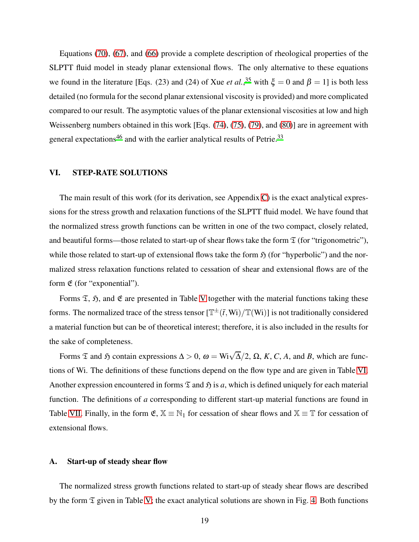Equations [\(70\)](#page-16-4), [\(67\)](#page-16-1), and [\(66\)](#page-16-5) provide a complete description of rheological properties of the SLPTT fluid model in steady planar extensional flows. The only alternative to these equations we found in the literature [Eqs. (23) and (24) of Xue *et al.*,<sup>[35](#page-35-7)</sup> with  $\xi = 0$  and  $\beta = 1$ ] is both less detailed (no formula for the second planar extensional viscosity is provided) and more complicated compared to our result. The asymptotic values of the planar extensional viscosities at low and high Weissenberg numbers obtained in this work [Eqs. [\(74\)](#page-17-1), [\(75\)](#page-17-2), [\(79\)](#page-17-3), and [\(80\)](#page-17-4)] are in agreement with general expectations<sup>[46](#page-36-7)</sup> and with the earlier analytical results of Petrie.<sup>[33](#page-35-5)</sup>

# <span id="page-18-0"></span>VI. STEP-RATE SOLUTIONS

The main result of this work (for its derivation, see Appendix [C\)](#page-30-0) is the exact analytical expressions for the stress growth and relaxation functions of the SLPTT fluid model. We have found that the normalized stress growth functions can be written in one of the two compact, closely related, and beautiful forms—those related to start-up of shear flows take the form  $\mathfrak T$  (for "trigonometric"), while those related to start-up of extensional flows take the form  $\mathfrak{H}$  (for "hyperbolic") and the normalized stress relaxation functions related to cessation of shear and extensional flows are of the form  $\mathfrak E$  (for "exponential").

Forms  $\mathfrak{T}$ ,  $\mathfrak{H}$ , and  $\mathfrak{E}$  are presented in Table [V](#page-19-0) together with the material functions taking these forms. The normalized trace of the stress tensor  $[\mathbb{T}^{\pm}(\bar{t},Wi)/\mathbb{T}(Wi)]$  is not traditionally considered a material function but can be of theoretical interest; therefore, it is also included in the results for the sake of completeness.

Forms  $\mathfrak T$  and  $\mathfrak H$  contain expressions  $\Delta > 0$ ,  $\omega = \text{Wi}\sqrt{\Delta}/2$ ,  $\Omega$ ,  $K$ ,  $C$ ,  $A$ , and  $B$ , which are functions of Wi. The definitions of these functions depend on the flow type and are given in Table [VI.](#page-19-1) Another expression encountered in forms  $\mathfrak T$  and  $\mathfrak H$  is a, which is defined uniquely for each material function. The definitions of *a* corresponding to different start-up material functions are found in Table [VII.](#page-20-0) Finally, in the form  $\mathfrak{E}, \mathbb{X} \equiv \mathbb{N}_1$  for cessation of shear flows and  $\mathbb{X} \equiv \mathbb{T}$  for cessation of extensional flows.

#### A. Start-up of steady shear flow

The normalized stress growth functions related to start-up of steady shear flows are described by the form  $\mathfrak T$  given in Table [V;](#page-19-0) the exact analytical solutions are shown in Fig. [4.](#page-21-0) Both functions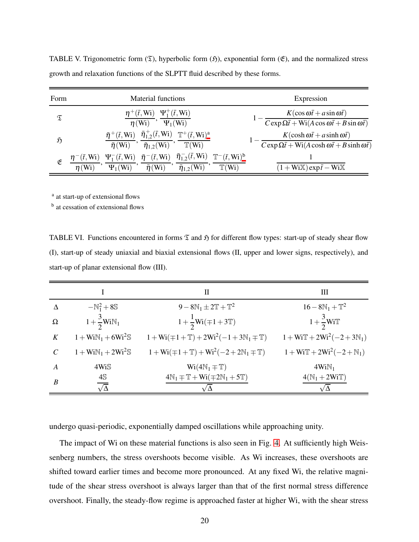| Form          | <b>Material functions</b>                                                                                                                                                                                                              | Expression                                                                                                                                 |
|---------------|----------------------------------------------------------------------------------------------------------------------------------------------------------------------------------------------------------------------------------------|--------------------------------------------------------------------------------------------------------------------------------------------|
| $\mathfrak T$ | $\eta^+(\bar{t},W_i) \Psi_1^+(\bar{t},W_i)$<br>$\Psi_1(W_i)$<br>$\eta$ (Wi)                                                                                                                                                            | $K(\cos \omega \bar{t} + a \sin \omega \bar{t})$<br>$C \exp \Omega \bar{t} + \text{Wi}(A \cos \omega \bar{t} + B \sin \omega \bar{t})$     |
| $\mathfrak H$ | $\bar{\eta}^+(\bar{t},Wi)$ $\bar{\eta}_{1,2}^+(\bar{t},Wi)$ $\mathbb{T}^+(\bar{t},Wi)^a$<br>$\bar{\eta}$ (Wi) $\bar{\eta}_{1,2}$ (Wi) $\mathbb{T}$ (Wi)                                                                                | $K(\cosh \omega \bar{t} + a \sinh \omega \bar{t})$<br>$C \exp \Omega \bar{t} + \text{Wi}(A \cosh \omega \bar{t} + B \sinh \omega \bar{t})$ |
| E             | $\overline{\Psi_1^-(\bar{t},Wi)},\,\frac{\bar{\eta}^-(\bar{t},Wi)}{\bar{\eta}(Wi)},\,\frac{\bar{\eta}^-_{1,2}(\bar{t},Wi)}{\bar{\eta}_{1,2}(Wi)},\,\frac{\mathbb{T}^-(\bar{t},Wi)^b}{\mathbb{T}(Wi)}$<br>$\bar{t}$ , Wi<br>$\eta$ (Wi) | $(1 + WiX) \exp(\bar{t} - WiX)$                                                                                                            |

<span id="page-19-0"></span>TABLE V. Trigonometric form  $(\mathfrak{T})$ , hyperbolic form  $(\mathfrak{H})$ , exponential form  $(\mathfrak{E})$ , and the normalized stress growth and relaxation functions of the SLPTT fluid described by these forms.

<sup>a</sup> at start-up of extensional flows

<span id="page-19-3"></span><span id="page-19-2"></span><sup>b</sup> at cessation of extensional flows

<span id="page-19-1"></span>TABLE VI. Functions encountered in forms  $\mathfrak T$  and  $\mathfrak H$  for different flow types: start-up of steady shear flow (I), start-up of steady uniaxial and biaxial extensional flows (II, upper and lower signs, respectively), and start-up of planar extensional flow (III).

|               |                       | Н                                                               | Ш                                |
|---------------|-----------------------|-----------------------------------------------------------------|----------------------------------|
| Δ             | $-N_1^2+8S$           | $9 - 8N_1 \pm 2T + T^2$                                         | $16 - 8N_1 + T^2$                |
| Ω             | $1+\frac{3}{2}WiN_1$  | $1 + \frac{1}{2}Wi(\mp 1 + 3T)$                                 | $1+\frac{3}{2}Wi\mathbb{T}$      |
| K             | $1 + WiN_1 + 6Wi^2S$  | $1 + Wi( \mp 1 + \mathbb{T}) + 2Wi^2(-1 + 3N_1 \mp \mathbb{T})$ | $1 + WiT + 2Wi^{2}(-2 + 3N_{1})$ |
| $\mathcal{C}$ | $1 + WiN_1 + 2Wi^2S$  | $1 + Wi( \mp 1 + \mathbb{T}) + Wi^2(-2 + 2N_1 \mp \mathbb{T})$  | $1 + WiT + 2Wi^2(-2 + N_1)$      |
| $\bm{A}$      | 4WiS                  | $Wi(4N_1 \mp T)$                                                | $4WiN_1$                         |
| B             | 4S<br>$\sqrt{\Delta}$ | $4N_1 \mp T + Wi(\mp 2N_1 + 5T)$                                | $4(N_1+2WiT)$                    |

undergo quasi-periodic, exponentially damped oscillations while approaching unity.

The impact of Wi on these material functions is also seen in Fig. [4.](#page-21-0) At sufficiently high Weissenberg numbers, the stress overshoots become visible. As Wi increases, these overshoots are shifted toward earlier times and become more pronounced. At any fixed Wi, the relative magnitude of the shear stress overshoot is always larger than that of the first normal stress difference overshoot. Finally, the steady-flow regime is approached faster at higher Wi, with the shear stress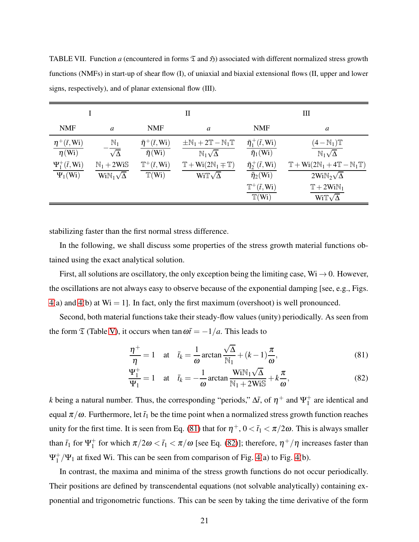|                                          |                                                                            |                                                 | П                                                                                      |                                                                 | Ш                                                                                                                |
|------------------------------------------|----------------------------------------------------------------------------|-------------------------------------------------|----------------------------------------------------------------------------------------|-----------------------------------------------------------------|------------------------------------------------------------------------------------------------------------------|
| <b>NMF</b>                               | a                                                                          | <b>NMF</b>                                      | a                                                                                      | <b>NMF</b>                                                      | a                                                                                                                |
| $\eta^+(\bar{t},W_i)$<br>$\eta$ (Wi)     | $\mathbb{N}_1$<br>$\sqrt{\Delta}$                                          | $\bar{\eta}^+(\bar{t},Wi)$<br>$\bar{\eta}$ (Wi) | $\pm N_1 + 2T - N_1T$<br>$\mathbb{N}_1\sqrt{\Delta}$                                   | $\bar{\eta}_1^+(\bar{t},W_i)$<br>$\overline{\eta_1(\text{Wi})}$ | $(4-N_1)\mathbb{T}$<br>$\mathbb{N}_1\sqrt{\Delta}$                                                               |
| $\Psi_1^+(\bar{t},W_i)$<br>$\Psi_1(W_i)$ | $\mathbb{N}_1 + 2\mathbb{W}$ i $\mathbb{S}$<br>$\text{WiN}_1\sqrt{\Delta}$ | $\mathbb{T}^+(\bar{t},W_i)$<br>$T(W_i)$         | $\mathbb{T} + \text{Wi}(2\mathbb{N}_1 \mp \mathbb{T})$<br>Wi $\mathbb{T}\sqrt{\Delta}$ | $\bar{\eta}_2^+(\bar{t},Wi)$<br>$\bar{\eta}_2$ (Wi)             | $\mathbb{T} + \text{Wi}(2\mathbb{N}_1 + 4\mathbb{T} - \mathbb{N}_1\mathbb{T})$<br>$2Wi\mathbb{N}_2\sqrt{\Delta}$ |
|                                          |                                                                            |                                                 |                                                                                        | $\mathbb{T}^+(\bar{t},W_i)$<br>$\mathbb{T}(Wi)$                 | $T + 2WiN_1$<br>Wi $\mathbb{T}\sqrt{\Delta}$                                                                     |

<span id="page-20-0"></span>TABLE VII. Function *a* (encountered in forms  $\mathfrak T$  and  $\mathfrak H$ ) associated with different normalized stress growth functions (NMFs) in start-up of shear flow (I), of uniaxial and biaxial extensional flows (II, upper and lower signs, respectively), and of planar extensional flow (III).

stabilizing faster than the first normal stress difference.

In the following, we shall discuss some properties of the stress growth material functions obtained using the exact analytical solution.

First, all solutions are oscillatory, the only exception being the limiting case, Wi  $\rightarrow$  0. However, the oscillations are not always easy to observe because of the exponential damping [see, e.g., Figs.  $4(a)$  $4(a)$  and  $4(b)$  at Wi = 1]. In fact, only the first maximum (overshoot) is well pronounced.

Second, both material functions take their steady-flow values (unity) periodically. As seen from the form  $\mathfrak T$  (Table [V\)](#page-19-0), it occurs when  $\tan \omega \bar t = -1/a$ . This leads to

<span id="page-20-1"></span>
$$
\frac{\eta^+}{\eta} = 1 \quad \text{at} \quad \bar{t}_k = \frac{1}{\omega} \arctan \frac{\sqrt{\Delta}}{\mathbb{N}_1} + (k-1)\frac{\pi}{\omega},\tag{81}
$$

<span id="page-20-2"></span>
$$
\frac{\Psi_1^+}{\Psi_1} = 1 \quad \text{at} \quad \bar{t}_k = -\frac{1}{\omega} \arctan \frac{WiN_1\sqrt{\Delta}}{N_1 + 2WiS} + k\frac{\pi}{\omega},\tag{82}
$$

*k* being a natural number. Thus, the corresponding "periods,"  $\Delta \bar{t}$ , of  $\eta^+$  and  $\Psi_1^+$  $_1^+$  are identical and equal  $\pi/\omega$ . Furthermore, let  $\bar{t}_1$  be the time point when a normalized stress growth function reaches unity for the first time. It is seen from Eq. [\(81\)](#page-20-1) that for  $\eta^+, 0 < \bar{t}_1 < \pi/2\omega$ . This is always smaller than  $\bar{t}_1$  for  $\Psi_1^+$  $^{+}_{1}$  for which  $\pi/2\omega < \bar{t}_1 < \pi/\omega$  [see Eq. [\(82\)](#page-20-2)]; therefore,  $\eta^{+}/\eta$  increases faster than  $\Psi_1^+$  $_{1}^{+}/\Psi_{1}$  at fixed Wi. This can be seen from comparison of Fig. [4\(](#page-21-0)a) to Fig. 4(b).

In contrast, the maxima and minima of the stress growth functions do not occur periodically. Their positions are defined by transcendental equations (not solvable analytically) containing exponential and trigonometric functions. This can be seen by taking the time derivative of the form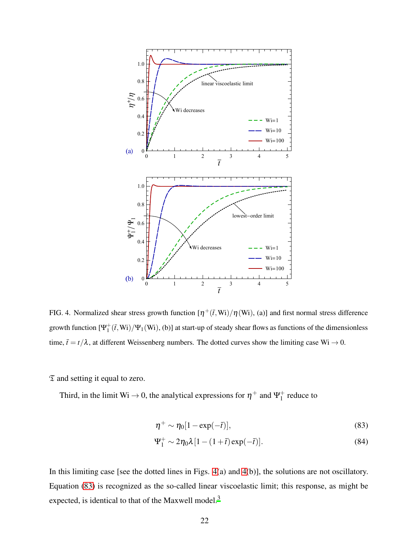

<span id="page-21-0"></span>FIG. 4. Normalized shear stress growth function  $[\eta^+(\bar{t},Wi)/\eta(Wi)$ , (a)] and first normal stress difference growth function  $[\Psi_1^+(\bar{t}, W_i)/\Psi_1(W_i), (b)]$  at start-up of steady shear flows as functions of the dimensionless time,  $\bar{t} = t/\lambda$ , at different Weissenberg numbers. The dotted curves show the limiting case Wi  $\rightarrow 0$ .

 $\mathfrak T$  and setting it equal to zero.

Third, in the limit Wi  $\rightarrow$  0, the analytical expressions for  $\eta^+$  and  $\Psi_1^+$  $_1^+$  reduce to

<span id="page-21-1"></span>
$$
\eta^+ \sim \eta_0 [1 - \exp(-\bar{t})],\tag{83}
$$

$$
\Psi_1^+ \sim 2\eta_0 \lambda \left[1 - (1+\bar{t})\exp(-\bar{t})\right].\tag{84}
$$

In this limiting case [see the dotted lines in Figs. [4\(](#page-21-0)a) and [4\(](#page-21-0)b)], the solutions are not oscillatory. Equation [\(83\)](#page-21-1) is recognized as the so-called linear viscoelastic limit; this response, as might be expected, is identical to that of the Maxwell model.<sup>[3](#page-33-2)</sup>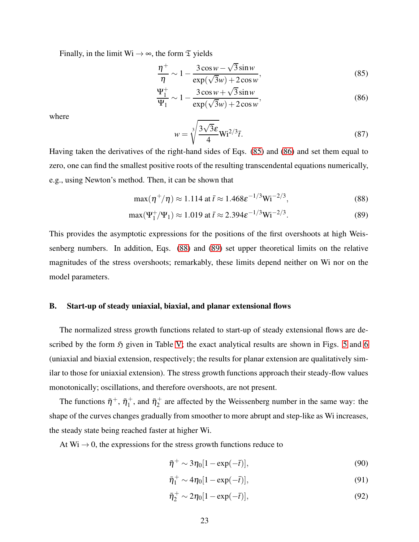Finally, in the limit  $Wi \rightarrow \infty$ , the form  $\mathfrak T$  yields

$$
\frac{\eta^+}{\eta} \sim 1 - \frac{3\cos w - \sqrt{3}\sin w}{\exp(\sqrt{3}w) + 2\cos w},\tag{85}
$$

$$
\frac{\Psi_1^+}{\Psi_1} \sim 1 - \frac{3\cos w + \sqrt{3}\sin w}{\exp(\sqrt{3}w) + 2\cos w},
$$
\n(86)

where

<span id="page-22-3"></span><span id="page-22-2"></span><span id="page-22-1"></span><span id="page-22-0"></span>
$$
w = \sqrt[3]{\frac{3\sqrt{3}\varepsilon}{4}} Wi^{2/3}\bar{t}.
$$
 (87)

Having taken the derivatives of the right-hand sides of Eqs. [\(85\)](#page-22-0) and [\(86\)](#page-22-1) and set them equal to zero, one can find the smallest positive roots of the resulting transcendental equations numerically, e.g., using Newton's method. Then, it can be shown that

$$
\max(\eta^+/\eta) \approx 1.114 \text{ at } \bar{t} \approx 1.468 \varepsilon^{-1/3} \text{Wi}^{-2/3},\tag{88}
$$

$$
\max(\Psi_1^+/\Psi_1) \approx 1.019 \text{ at } \bar{t} \approx 2.394 \varepsilon^{-1/3} \text{Wi}^{-2/3}.
$$
 (89)

This provides the asymptotic expressions for the positions of the first overshoots at high Weissenberg numbers. In addition, Eqs. [\(88\)](#page-22-2) and [\(89\)](#page-22-3) set upper theoretical limits on the relative magnitudes of the stress overshoots; remarkably, these limits depend neither on Wi nor on the model parameters.

# B. Start-up of steady uniaxial, biaxial, and planar extensional flows

The normalized stress growth functions related to start-up of steady extensional flows are described by the form  $\mathfrak{H}$  given in Table [V;](#page-19-0) the exact analytical results are shown in Figs. [5](#page-23-0) and [6](#page-24-1) (uniaxial and biaxial extension, respectively; the results for planar extension are qualitatively similar to those for uniaxial extension). The stress growth functions approach their steady-flow values monotonically; oscillations, and therefore overshoots, are not present.

The functions  $\bar{\eta}^+$ ,  $\bar{\eta}_1^+$  $\bar{\eta}_2^+$ , and  $\bar{\eta}_2^+$  $_2^+$  are affected by the Weissenberg number in the same way: the shape of the curves changes gradually from smoother to more abrupt and step-like as Wi increases, the steady state being reached faster at higher Wi.

At  $Wi \rightarrow 0$ , the expressions for the stress growth functions reduce to

$$
\bar{\eta}^+ \sim 3\eta_0[1 - \exp(-\bar{t})],\tag{90}
$$

$$
\bar{\eta}_1^+ \sim 4\eta_0[1 - \exp(-\bar{t})],\tag{91}
$$

$$
\bar{\eta}_2^+ \sim 2\eta_0[1 - \exp(-\bar{t})],\tag{92}
$$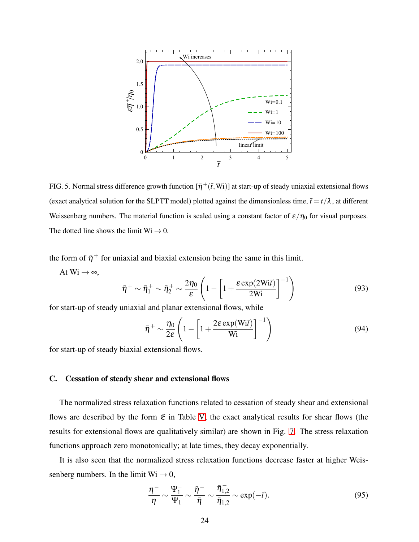

<span id="page-23-0"></span>FIG. 5. Normal stress difference growth function  $[\bar{\eta}^+(\bar{t},Wi)]$  at start-up of steady uniaxial extensional flows (exact analytical solution for the SLPTT model) plotted against the dimensionless time,  $\bar{t} = t/\lambda$ , at different Weissenberg numbers. The material function is scaled using a constant factor of  $\varepsilon/\eta_0$  for visual purposes. The dotted line shows the limit  $Wi \rightarrow 0$ .

the form of  $\bar{\eta}^+$  for uniaxial and biaxial extension being the same in this limit.

At  $Wi \rightarrow \infty$ ,

$$
\bar{\eta}^+ \sim \bar{\eta}_1^+ \sim \bar{\eta}_2^+ \sim \frac{2\eta_0}{\varepsilon} \left( 1 - \left[ 1 + \frac{\varepsilon \exp(2\text{Wi}\bar{t})}{2\text{Wi}} \right]^{-1} \right) \tag{93}
$$

for start-up of steady uniaxial and planar extensional flows, while

$$
\bar{\eta}^+ \sim \frac{\eta_0}{2\varepsilon} \left( 1 - \left[ 1 + \frac{2\varepsilon \exp(\mathbf{W} \mathbf{i}\bar{t})}{\mathbf{W} \mathbf{i}} \right]^{-1} \right) \tag{94}
$$

for start-up of steady biaxial extensional flows.

# C. Cessation of steady shear and extensional flows

The normalized stress relaxation functions related to cessation of steady shear and extensional flows are described by the form  $E$  in Table [V;](#page-19-0) the exact analytical results for shear flows (the results for extensional flows are qualitatively similar) are shown in Fig. [7.](#page-25-0) The stress relaxation functions approach zero monotonically; at late times, they decay exponentially.

It is also seen that the normalized stress relaxation functions decrease faster at higher Weissenberg numbers. In the limit  $Wi \rightarrow 0$ ,

$$
\frac{\eta^-}{\eta} \sim \frac{\Psi_1^-}{\Psi_1} \sim \frac{\bar{\eta}^-}{\bar{\eta}} \sim \frac{\bar{\eta}_{1,2}^-}{\bar{\eta}_{1,2}} \sim \exp(-\bar{t}).\tag{95}
$$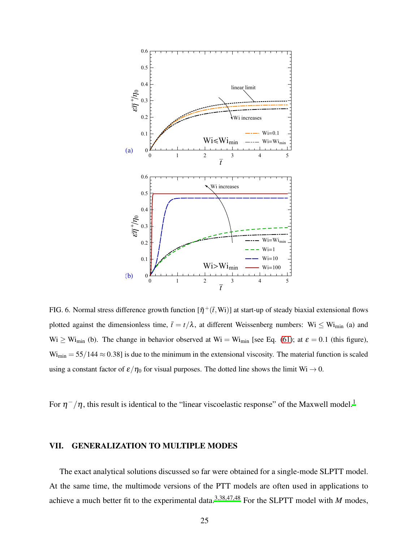

<span id="page-24-1"></span>FIG. 6. Normal stress difference growth function  $[\bar{\eta}^+(\bar{t},Wi)]$  at start-up of steady biaxial extensional flows plotted against the dimensionless time,  $\bar{t} = t/\lambda$ , at different Weissenberg numbers: Wi  $\leq$  Wi<sub>min</sub> (a) and  $Wi \ge Wi_{min}$  (b). The change in behavior observed at  $Wi = Wi_{min}$  [see Eq. [\(61\)](#page-15-1); at  $\varepsilon = 0.1$  (this figure),  $Wi_{min} = 55/144 \approx 0.38$ ] is due to the minimum in the extensional viscosity. The material function is scaled using a constant factor of  $\varepsilon/\eta_0$  for visual purposes. The dotted line shows the limit Wi  $\to 0$ .

For  $\eta^-/\eta$ , this result is identical to the "linear viscoelastic response" of the Maxwell model.<sup>[1](#page-33-0)</sup>

### <span id="page-24-0"></span>VII. GENERALIZATION TO MULTIPLE MODES

The exact analytical solutions discussed so far were obtained for a single-mode SLPTT model. At the same time, the multimode versions of the PTT models are often used in applications to achieve a much better fit to the experimental data.<sup>[3](#page-33-2)[,38](#page-36-8)[,47](#page-36-9)[,48](#page-36-10)</sup> For the SLPTT model with *M* modes,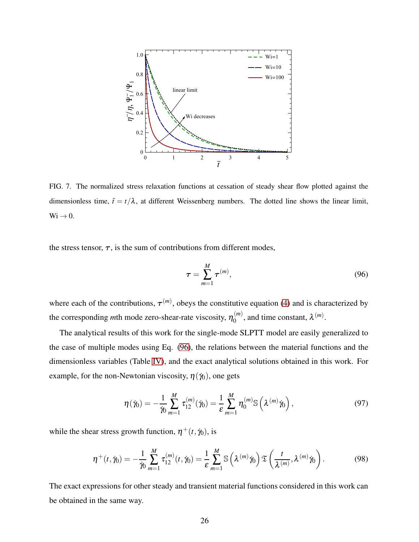

<span id="page-25-0"></span>FIG. 7. The normalized stress relaxation functions at cessation of steady shear flow plotted against the dimensionless time,  $\bar{t} = t/\lambda$ , at different Weissenberg numbers. The dotted line shows the linear limit,  $Wi \rightarrow 0.$ 

the stress tensor,  $\tau$ , is the sum of contributions from different modes,

<span id="page-25-1"></span>
$$
\tau = \sum_{m=1}^{M} \tau^{(m)},\tag{96}
$$

where each of the contributions,  $\tau^{(m)}$ , obeys the constitutive equation [\(4\)](#page-5-2) and is characterized by the corresponding *m*th mode zero-shear-rate viscosity,  $\eta_0^{(m)}$  $\binom{m}{0}$ , and time constant,  $\lambda^{(m)}$ .

The analytical results of this work for the single-mode SLPTT model are easily generalized to the case of multiple modes using Eq. [\(96\)](#page-25-1), the relations between the material functions and the dimensionless variables (Table [IV\)](#page-9-0), and the exact analytical solutions obtained in this work. For example, for the non-Newtonian viscosity,  $\eta(\gamma_0)$ , one gets

$$
\eta(\dot{\gamma}_0) = -\frac{1}{\dot{\gamma}_0} \sum_{m=1}^{M} \tau_{12}^{(m)}(\dot{\gamma}_0) = \frac{1}{\varepsilon} \sum_{m=1}^{M} \eta_0^{(m)} \mathbb{S} \left( \lambda^{(m)} \dot{\gamma}_0 \right), \tag{97}
$$

while the shear stress growth function,  $\eta^+(t, \dot{\gamma}_0)$ , is

$$
\eta^+(t,\dot{\gamma}_0) = -\frac{1}{\dot{\gamma}_0} \sum_{m=1}^M \tau_{12}^{(m)}(t,\dot{\gamma}_0) = \frac{1}{\varepsilon} \sum_{m=1}^M \mathbb{S}\left(\lambda^{(m)}\dot{\gamma}_0\right) \mathfrak{T}\left(\frac{t}{\lambda^{(m)}},\lambda^{(m)}\dot{\gamma}_0\right). \tag{98}
$$

The exact expressions for other steady and transient material functions considered in this work can be obtained in the same way.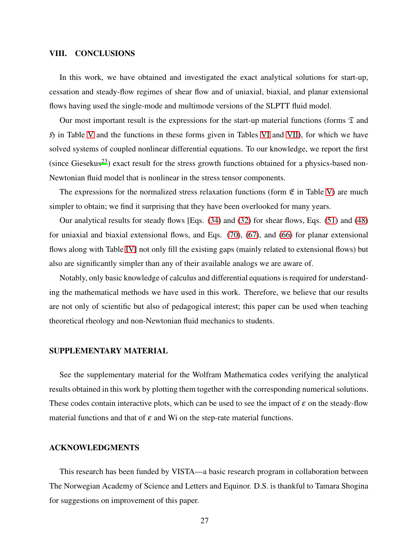### <span id="page-26-0"></span>VIII. CONCLUSIONS

In this work, we have obtained and investigated the exact analytical solutions for start-up, cessation and steady-flow regimes of shear flow and of uniaxial, biaxial, and planar extensional flows having used the single-mode and multimode versions of the SLPTT fluid model.

Our most important result is the expressions for the start-up material functions (forms  $\mathfrak T$  and  $\mathfrak H$  in Table [V](#page-19-0) and the functions in these forms given in Tables [VI](#page-19-1) and [VII\)](#page-20-0), for which we have solved systems of coupled nonlinear differential equations. To our knowledge, we report the first (since Giesekus<sup>[23](#page-35-0)</sup>) exact result for the stress growth functions obtained for a physics-based non-Newtonian fluid model that is nonlinear in the stress tensor components.

The expressions for the normalized stress relaxation functions (form  $\mathfrak E$  in Table [V\)](#page-19-0) are much simpler to obtain; we find it surprising that they have been overlooked for many years.

Our analytical results for steady flows [Eqs. [\(34\)](#page-12-0) and [\(32\)](#page-11-4) for shear flows, Eqs. [\(51\)](#page-14-1) and [\(48\)](#page-13-3) for uniaxial and biaxial extensional flows, and Eqs. [\(70\)](#page-16-4), [\(67\)](#page-16-1), and [\(66\)](#page-16-5) for planar extensional flows along with Table [IV\]](#page-9-0) not only fill the existing gaps (mainly related to extensional flows) but also are significantly simpler than any of their available analogs we are aware of.

Notably, only basic knowledge of calculus and differential equations is required for understanding the mathematical methods we have used in this work. Therefore, we believe that our results are not only of scientific but also of pedagogical interest; this paper can be used when teaching theoretical rheology and non-Newtonian fluid mechanics to students.

# SUPPLEMENTARY MATERIAL

See the supplementary material for the Wolfram Mathematica codes verifying the analytical results obtained in this work by plotting them together with the corresponding numerical solutions. These codes contain interactive plots, which can be used to see the impact of  $\varepsilon$  on the steady-flow material functions and that of  $\varepsilon$  and Wi on the step-rate material functions.

### ACKNOWLEDGMENTS

This research has been funded by VISTA—a basic research program in collaboration between The Norwegian Academy of Science and Letters and Equinor. D.S. is thankful to Tamara Shogina for suggestions on improvement of this paper.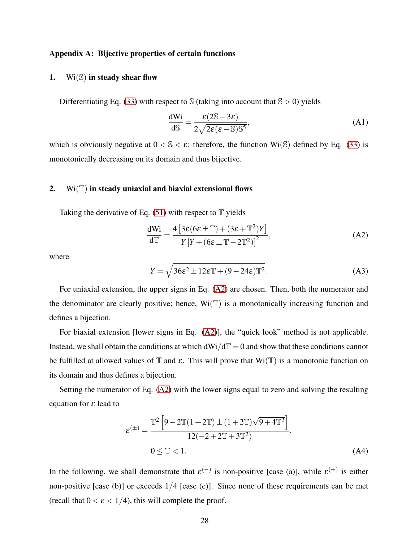## <span id="page-27-0"></span>Appendix A: Bijective properties of certain functions

# <span id="page-27-1"></span>1. Wi $(\mathbb{S})$  in steady shear flow

Differentiating Eq. [\(33\)](#page-11-3) with respect to  $\Im$  (taking into account that  $\Im$  > 0) yields

$$
\frac{dWi}{dS} = \frac{\varepsilon (2S - 3\varepsilon)}{2\sqrt{2\varepsilon (\varepsilon - S)S^5}},
$$
(A1)

which is obviously negative at  $0 < S < \varepsilon$ ; therefore, the function Wi(S) defined by Eq. [\(33\)](#page-11-3) is monotonically decreasing on its domain and thus bijective.

# <span id="page-27-2"></span>2.  $Wi(T)$  in steady uniaxial and biaxial extensional flows

Taking the derivative of Eq.  $(51)$  with respect to  $\mathbb T$  yields

<span id="page-27-3"></span>
$$
\frac{dWi}{dT} = \frac{4\left[3\varepsilon(6\varepsilon \pm \mathbb{T}) + (3\varepsilon + \mathbb{T}^2)Y\right]}{Y\left[Y + (6\varepsilon \pm \mathbb{T} - 2\mathbb{T}^2)\right]^2},\tag{A2}
$$

where

$$
Y = \sqrt{36\epsilon^2 \pm 12\epsilon \mathbb{T} + (9 - 24\epsilon)\mathbb{T}^2}.
$$
 (A3)

For uniaxial extension, the upper signs in Eq. [\(A2\)](#page-27-3) are chosen. Then, both the numerator and the denominator are clearly positive; hence,  $Wi(\mathbb{T})$  is a monotonically increasing function and defines a bijection.

For biaxial extension [lower signs in Eq. [\(A2\)](#page-27-3)], the "quick look" method is not applicable. Instead, we shall obtain the conditions at which  $dWi/dT = 0$  and show that these conditions cannot be fulfilled at allowed values of  $\mathbb T$  and  $\varepsilon$ . This will prove that Wi( $\mathbb T$ ) is a monotonic function on its domain and thus defines a bijection.

Setting the numerator of Eq. [\(A2\)](#page-27-3) with the lower signs equal to zero and solving the resulting equation for  $\varepsilon$  lead to

<span id="page-27-4"></span>
$$
\varepsilon^{(\pm)} = \frac{\mathbb{T}^2 \left[ 9 - 2\mathbb{T} (1 + 2\mathbb{T}) \pm (1 + 2\mathbb{T}) \sqrt{9 + 4\mathbb{T}^2} \right]}{12(-2 + 2\mathbb{T} + 3\mathbb{T}^2)},
$$
\n
$$
0 \le \mathbb{T} < 1. \tag{A4}
$$

In the following, we shall demonstrate that  $\varepsilon^{(-)}$  is non-positive [case (a)], while  $\varepsilon^{(+)}$  is either non-positive [case (b)] or exceeds 1/4 [case (c)]. Since none of these requirements can be met (recall that  $0 < \varepsilon < 1/4$ ), this will complete the proof.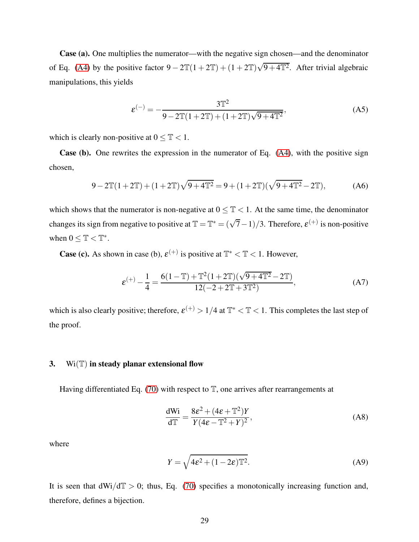Case (a). One multiplies the numerator—with the negative sign chosen—and the denominator of Eq. [\(A4\)](#page-27-4) by the positive factor  $9 - 2\mathbb{T}(1 + 2\mathbb{T}) + (1 + 2\mathbb{T})\sqrt{9 + 4\mathbb{T}^2}$ . After trivial algebraic manipulations, this yields

$$
\varepsilon^{(-)} = -\frac{3\mathbb{T}^2}{9 - 2\mathbb{T}(1 + 2\mathbb{T}) + (1 + 2\mathbb{T})\sqrt{9 + 4\mathbb{T}^2}},\tag{A5}
$$

which is clearly non-positive at  $0 \leq T < 1$ .

Case (b). One rewrites the expression in the numerator of Eq. [\(A4\)](#page-27-4), with the positive sign chosen,

$$
9 - 2\mathbb{T}(1 + 2\mathbb{T}) + (1 + 2\mathbb{T})\sqrt{9 + 4\mathbb{T}^2} = 9 + (1 + 2\mathbb{T})(\sqrt{9 + 4\mathbb{T}^2} - 2\mathbb{T}),\tag{A6}
$$

which shows that the numerator is non-negative at  $0 \leq T < 1$ . At the same time, the denominator changes its sign from negative to positive at  $\mathbb{T} = \mathbb{T}^* = (\sqrt{7}-1)/3$ . Therefore,  $\varepsilon^{(+)}$  is non-positive when  $0 \leq \mathbb{T} < \mathbb{T}^*$ .

**Case (c).** As shown in case (b),  $\varepsilon^{(+)}$  is positive at  $\mathbb{T}^* < \mathbb{T} < 1$ . However,

$$
\varepsilon^{(+)} - \frac{1}{4} = \frac{6(1-\mathbb{T}) + \mathbb{T}^2(1+2\mathbb{T})(\sqrt{9+4\mathbb{T}^2} - 2\mathbb{T})}{12(-2+2\mathbb{T}+3\mathbb{T}^2)},
$$
 (A7)

which is also clearly positive; therefore,  $\varepsilon^{(+)} > 1/4$  at  $\mathbb{T}^* < \mathbb{T} < 1$ . This completes the last step of the proof.

# <span id="page-28-0"></span>3.  $\text{Wi}(\mathbb{T})$  in steady planar extensional flow

Having differentiated Eq. [\(70\)](#page-16-4) with respect to  $\mathbb{T}$ , one arrives after rearrangements at

$$
\frac{d\text{Wi}}{d\mathbb{T}} = \frac{8\epsilon^2 + (4\epsilon + \mathbb{T}^2)Y}{Y(4\epsilon - \mathbb{T}^2 + Y)^2},\tag{A8}
$$

where

$$
Y = \sqrt{4\epsilon^2 + (1 - 2\epsilon)\mathbb{T}^2}.
$$
 (A9)

It is seen that  $dWi/dT > 0$ ; thus, Eq. [\(70\)](#page-16-4) specifies a monotonically increasing function and, therefore, defines a bijection.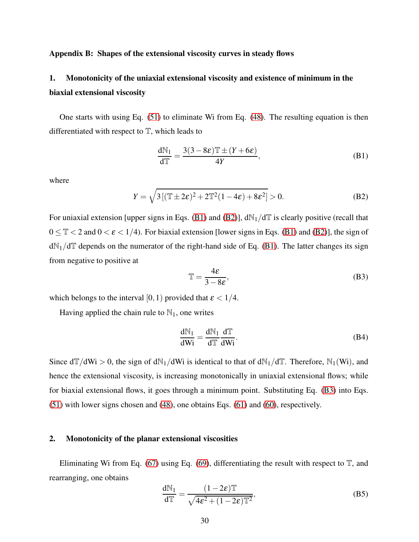# Appendix B: Shapes of the extensional viscosity curves in steady flows

# <span id="page-29-0"></span>1. Monotonicity of the uniaxial extensional viscosity and existence of minimum in the biaxial extensional viscosity

One starts with using Eq. [\(51\)](#page-14-1) to eliminate Wi from Eq. [\(48\)](#page-13-3). The resulting equation is then differentiated with respect to  $T$ , which leads to

<span id="page-29-2"></span>
$$
\frac{dN_1}{dT} = \frac{3(3 - 8\varepsilon)T \pm (Y + 6\varepsilon)}{4Y},
$$
(B1)

where

<span id="page-29-3"></span>
$$
Y = \sqrt{3\left[ (\mathbb{T} \pm 2\varepsilon)^2 + 2\mathbb{T}^2 (1 - 4\varepsilon) + 8\varepsilon^2 \right]} > 0.
$$
 (B2)

For uniaxial extension [upper signs in Eqs. [\(B1\)](#page-29-2) and [\(B2\)](#page-29-3)],  $dN_1/dT$  is clearly positive (recall that  $0 \leq T < 2$  and  $0 < \varepsilon < 1/4$ ). For biaxial extension [lower signs in Eqs. [\(B1\)](#page-29-2) and [\(B2\)](#page-29-3)], the sign of  $dN_1/dT$  depends on the numerator of the right-hand side of Eq. [\(B1\)](#page-29-2). The latter changes its sign from negative to positive at

<span id="page-29-4"></span>
$$
\mathbb{T} = \frac{4\varepsilon}{3 - 8\varepsilon},\tag{B3}
$$

which belongs to the interval [0, 1) provided that  $\epsilon < 1/4$ .

Having applied the chain rule to  $\mathbb{N}_1$ , one writes

$$
\frac{dN_1}{dWi} = \frac{dN_1}{dT} \frac{dT}{dWi}.
$$
 (B4)

Since  $d\mathbb{T}/d\mathbb{W}$  > 0, the sign of  $dN_1/d\mathbb{W}$  is identical to that of  $dN_1/d\mathbb{T}$ . Therefore,  $N_1(\mathbb{W})$ , and hence the extensional viscosity, is increasing monotonically in uniaxial extensional flows; while for biaxial extensional flows, it goes through a minimum point. Substituting Eq. [\(B3\)](#page-29-4) into Eqs. [\(51\)](#page-14-1) with lower signs chosen and [\(48\)](#page-13-3), one obtains Eqs. [\(61\)](#page-15-1) and [\(60\)](#page-15-0), respectively.

# <span id="page-29-1"></span>2. Monotonicity of the planar extensional viscosities

Eliminating Wi from Eq. [\(67\)](#page-16-1) using Eq. [\(69\)](#page-16-6), differentiating the result with respect to  $\mathbb{T}$ , and rearranging, one obtains

$$
\frac{dN_1}{d\mathbb{T}} = \frac{(1 - 2\varepsilon)\mathbb{T}}{\sqrt{4\varepsilon^2 + (1 - 2\varepsilon)\mathbb{T}^2}},
$$
(B5)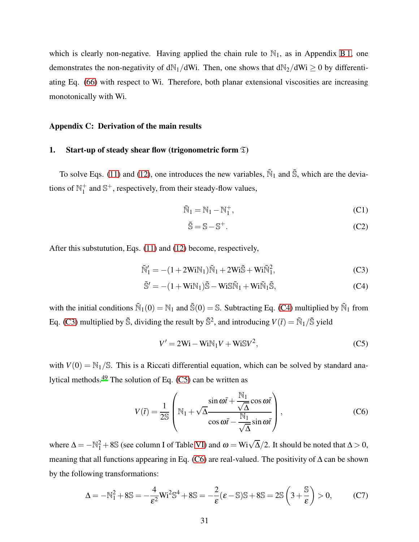which is clearly non-negative. Having applied the chain rule to  $\mathbb{N}_1$ , as in Appendix [B 1,](#page-29-0) one demonstrates the non-negativity of dN<sub>1</sub>/dWi. Then, one shows that dN<sub>2</sub>/dWi  $\geq$  0 by differentiating Eq. [\(66\)](#page-16-5) with respect to Wi. Therefore, both planar extensional viscosities are increasing monotonically with Wi.

#### <span id="page-30-0"></span>Appendix C: Derivation of the main results

## <span id="page-30-5"></span>1. Start-up of steady shear flow (trigonometric form  $\mathfrak{T}$ )

To solve Eqs. [\(11\)](#page-8-1) and [\(12\)](#page-8-2), one introduces the new variables,  $\tilde{N}_1$  and  $\tilde{S}$ , which are the deviations of  $\mathbb{N}_1^+$  $_1^+$  and  $\mathbb{S}^+$ , respectively, from their steady-flow values,

$$
\widetilde{N}_1 = N_1 - N_1^+, \tag{C1}
$$

<span id="page-30-2"></span><span id="page-30-1"></span>
$$
\tilde{\mathbb{S}} = \mathbb{S} - \mathbb{S}^+. \tag{C2}
$$

After this substutution, Eqs. [\(11\)](#page-8-1) and [\(12\)](#page-8-2) become, respectively,

$$
\widetilde{\mathbb{N}}_1' = -(1 + 2\text{WiN}_1)\widetilde{\mathbb{N}}_1 + 2\text{Wi}\widetilde{\mathbb{S}} + \text{Wi}\widetilde{\mathbb{N}}_1^2,\tag{C3}
$$

$$
\tilde{\mathbb{S}}' = -(1 + \text{WiN}_1)\tilde{\mathbb{S}} - \text{WiS}\tilde{\mathbb{N}}_1 + \text{Wi}\tilde{\mathbb{N}}_1\tilde{\mathbb{S}},\tag{C4}
$$

with the initial conditions  $\tilde{N}_1(0) = N_1$  and  $\tilde{S}(0) = S$ . Subtracting Eq. [\(C4\)](#page-30-1) multiplied by  $\tilde{N}_1$  from Eq. [\(C3\)](#page-30-2) multiplied by  $\tilde{\mathbb{S}}$ , dividing the result by  $\tilde{\mathbb{S}}^2$ , and introducing  $V(\bar{t}) = \tilde{\mathbb{N}}_1/\tilde{\mathbb{S}}$  yield

<span id="page-30-3"></span>
$$
V' = 2Wi - WiN1V + WiSV2,
$$
 (C5)

with  $V(0) = N_1/S$ . This is a Riccati differential equation, which can be solved by standard analytical methods.[49](#page-36-11) The solution of Eq. [\(C5\)](#page-30-3) can be written as

<span id="page-30-4"></span>
$$
V(\bar{t}) = \frac{1}{2S} \left( \mathbb{N}_1 + \sqrt{\Delta} \frac{\sin \omega \bar{t} + \frac{\mathbb{N}_1}{\sqrt{\Delta}} \cos \omega \bar{t}}{\cos \omega \bar{t} - \frac{\mathbb{N}_1}{\sqrt{\Delta}} \sin \omega \bar{t}} \right),
$$
 (C6)

where  $\Delta = -\mathbb{N}_1^2 + 8\mathbb{S}$  (see column I of Table [VI\)](#page-19-1) and  $\omega = Wi\sqrt{\Delta}/2$ . It should be noted that  $\Delta > 0$ , meaning that all functions appearing in Eq. [\(C6\)](#page-30-4) are real-valued. The positivity of ∆ can be shown by the following transformations:

$$
\Delta = -\mathbb{N}_1^2 + 8\mathbb{S} = -\frac{4}{\varepsilon^2} \mathbb{W}^2 \mathbb{S}^4 + 8\mathbb{S} = -\frac{2}{\varepsilon} (\varepsilon - \mathbb{S}) \mathbb{S} + 8\mathbb{S} = 2\mathbb{S} \left( 3 + \frac{\mathbb{S}}{\varepsilon} \right) > 0,\tag{C7}
$$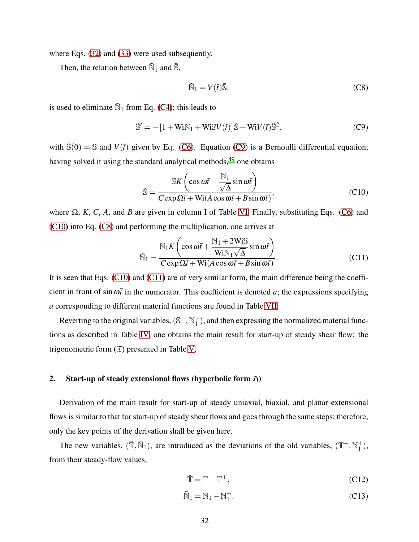where Eqs. [\(32\)](#page-11-4) and [\(33\)](#page-11-3) were used subsequently.

Then, the relation between  $\tilde{N}_1$  and  $\tilde{S}$ ,

<span id="page-31-2"></span>
$$
\tilde{\mathbb{N}}_1 = V(\bar{t})\tilde{\mathbb{S}},\tag{C8}
$$

is used to eliminate  $\tilde{N}_1$  from Eq. [\(C4\)](#page-30-1); this leads to

<span id="page-31-0"></span>
$$
\tilde{\mathbb{S}}' = -[1 + \text{WiN}_1 + \text{WiSV}(\tilde{t})]\tilde{\mathbb{S}} + \text{WiV}(\tilde{t})\tilde{\mathbb{S}}^2,\tag{C9}
$$

with  $\tilde{\mathbb{S}}(0) = \mathbb{S}$  and  $V(\bar{t})$  given by Eq. [\(C6\)](#page-30-4). Equation [\(C9\)](#page-31-0) is a Bernoulli differential equation; having solved it using the standard analytical methods,<sup>[49](#page-36-11)</sup> one obtains

<span id="page-31-1"></span>
$$
\tilde{\mathbb{S}} = \frac{\mathbb{S}K\left(\cos\omega\bar{t} - \frac{\mathbb{N}_1}{\sqrt{\Delta}}\sin\omega\bar{t}\right)}{C\exp\Omega\bar{t} + \text{Wi}(A\cos\omega\bar{t} + B\sin\omega\bar{t})},\tag{C10}
$$

where Ω, *K*, *C*, *A*, and *B* are given in column I of Table [VI.](#page-19-1) Finally, substituting Eqs. [\(C6\)](#page-30-4) and [\(C10\)](#page-31-1) into Eq. [\(C8\)](#page-31-2) and performing the multiplication, one arrives at

<span id="page-31-3"></span>
$$
\tilde{\mathbb{N}}_1 = \frac{\mathbb{N}_1 K \left( \cos \omega \bar{t} + \frac{\mathbb{N}_1 + 2 \text{WiS}}{\text{WiN}_1 \sqrt{\Delta}} \sin \omega \bar{t} \right)}{C \exp \Omega \bar{t} + \text{Wi}(A \cos \omega \bar{t} + B \sin \omega \bar{t})}.
$$
\n(C11)

It is seen that Eqs. [\(C10\)](#page-31-1) and [\(C11\)](#page-31-3) are of very similar form, the main difference being the coefficient in front of sin $\omega \bar{t}$  in the numerator. This coefficient is denoted *a*; the expressions specifying *a* corresponding to different material functions are found in Table [VII.](#page-20-0)

Reverting to the original variables,  $(\mathbb{S}^+, \mathbb{N}_1^+)$  $_1^+$ ), and then expressing the normalized material functions as described in Table [IV,](#page-9-0) one obtains the main result for start-up of steady shear flow: the trigonometric form  $(\mathfrak{T})$  presented in Table [V.](#page-19-0)

#### 2. Start-up of steady extensional flows (hyperbolic form  $\mathfrak{H}$ )

Derivation of the main result for start-up of steady uniaxial, biaxial, and planar extensional flows is similar to that for start-up of steady shear flows and goes through the same steps; therefore, only the key points of the derivation shall be given here.

The new variables,  $(\tilde{T}, \tilde{N}_1)$ , are introduced as the deviations of the old variables,  $(T^+, N_1^+)$  $_{1}^{+}),$ from their steady-flow values,

$$
\tilde{\mathbb{T}} = \mathbb{T} - \mathbb{T}^+, \tag{C12}
$$

$$
\widetilde{N}_1 = N_1 - N_1^+.
$$
\n(C13)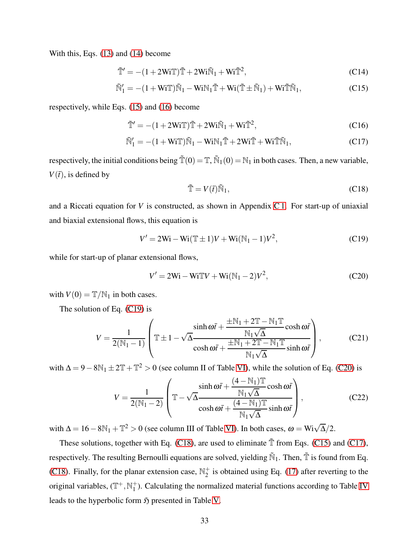With this, Eqs. [\(13\)](#page-9-2) and [\(14\)](#page-9-3) become

$$
\tilde{\mathbb{T}}' = -(1 + 2\text{WiT})\tilde{\mathbb{T}} + 2\text{Wi}\tilde{\mathbb{N}}_1 + \text{Wi}\tilde{\mathbb{T}}^2,\tag{C14}
$$

$$
\tilde{N}'_1 = -(1 + WiT)\tilde{N}_1 - WiN_1\tilde{T} + Wi(\tilde{T} \pm \tilde{N}_1) + Wi\tilde{T}\tilde{N}_1,
$$
\n(C15)

respectively, while Eqs. [\(15\)](#page-9-4) and [\(16\)](#page-9-5) become

$$
\tilde{\mathbb{T}}' = -(1 + 2\text{WiT})\tilde{\mathbb{T}} + 2\text{Wi}\tilde{\mathbb{N}}_1 + \text{Wi}\tilde{\mathbb{T}}^2,\tag{C16}
$$

$$
\tilde{\mathbb{N}}_1' = -(1 + \mathbf{W} \mathbf{i} \mathbb{T}) \tilde{\mathbb{N}}_1 - \mathbf{W} \mathbf{i} \mathbb{N}_1 \tilde{\mathbb{T}} + 2 \mathbf{W} \mathbf{i} \tilde{\mathbb{T}} + \mathbf{W} \mathbf{i} \tilde{\mathbb{T}} \tilde{\mathbb{N}}_1,\tag{C17}
$$

respectively, the initial conditions being  $\tilde{T}(0) = T$ ,  $\tilde{N}_1(0) = N_1$  in both cases. Then, a new variable,  $V(\bar{t})$ , is defined by

<span id="page-32-4"></span><span id="page-32-3"></span><span id="page-32-2"></span>
$$
\tilde{\mathbb{T}} = V(\bar{t})\tilde{\mathbb{N}}_1,\tag{C18}
$$

and a Riccati equation for *V* is constructed, as shown in Appendix [C 1.](#page-30-5) For start-up of uniaxial and biaxial extensional flows, this equation is

<span id="page-32-0"></span>
$$
V' = 2Wi - Wi(\mathbb{T} \pm 1)V + Wi(\mathbb{N}_1 - 1)V^2,
$$
 (C19)

while for start-up of planar extensional flows,

<span id="page-32-1"></span>
$$
V' = 2Wi - WiT V + Wi(N_1 - 2)V^2,
$$
 (C20)

with  $V(0) = T/N_1$  in both cases.

The solution of Eq. [\(C19\)](#page-32-0) is

$$
V = \frac{1}{2(N_1 - 1)} \left( \mathbb{T} \pm 1 - \sqrt{\Delta} \frac{\sinh \omega \bar{t} + \frac{\pm N_1 + 2\mathbb{T} - N_1 \mathbb{T}}{N_1 \sqrt{\Delta}} \cosh \omega \bar{t}}{\cosh \omega \bar{t} + \frac{\pm N_1 + 2\mathbb{T} - N_1 \mathbb{T}}{N_1 \sqrt{\Delta}} \sinh \omega \bar{t}} \right),
$$
 (C21)

with  $\Delta = 9 - 8N_1 \pm 2\mathbb{T} + \mathbb{T}^2 > 0$  (see column II of Table [VI\)](#page-19-1), while the solution of Eq. [\(C20\)](#page-32-1) is

$$
V = \frac{1}{2(N_1 - 2)} \left( \mathbb{T} - \sqrt{\Delta} \frac{\sinh \omega \bar{t} + \frac{(4 - N_1)\mathbb{T}}{N_1 \sqrt{\Delta}} \cosh \omega \bar{t}}{\cosh \omega \bar{t} + \frac{(4 - N_1)\mathbb{T}}{N_1 \sqrt{\Delta}} \sinh \omega \bar{t}} \right),
$$
(C22)

with  $\Delta = 16 - 8N_1 + T^2 > 0$  (see column III of Table [VI\)](#page-19-1). In both cases,  $\omega = Wi\sqrt{\Delta}/2$ .

These solutions, together with Eq. [\(C18\)](#page-32-2), are used to eliminate  $\tilde{T}$  from Eqs. [\(C15\)](#page-32-3) and [\(C17\)](#page-32-4), respectively. The resulting Bernoulli equations are solved, yielding  $\tilde{N}_1$ . Then,  $\tilde{T}$  is found from Eq. [\(C18\)](#page-32-2). Finally, for the planar extension case,  $\mathbb{N}_2^+$  $_2^+$  is obtained using Eq. [\(17\)](#page-9-1) after reverting to the original variables,  $(\mathbb{T}^+, \mathbb{N}_1^+)$  $_1^+$ ). Calculating the normalized material functions according to Table [IV](#page-9-0) leads to the hyperbolic form  $\mathfrak H$  presented in Table [V.](#page-19-0)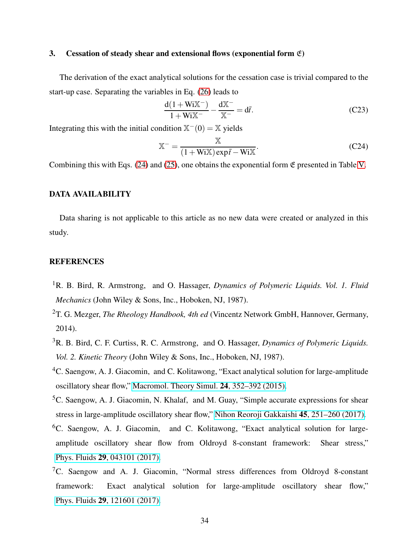## 3. Cessation of steady shear and extensional flows (exponential form  $\mathfrak{E}$ )

The derivation of the exact analytical solutions for the cessation case is trivial compared to the start-up case. Separating the variables in Eq. [\(26\)](#page-10-2) leads to

$$
\frac{d(1+WiX^{-})}{1+WiX^{-}} - \frac{dX^{-}}{X^{-}} = d\bar{t}.
$$
 (C23)

Integrating this with the initial condition  $\mathbb{X}^-(0) = \mathbb{X}$  yields

$$
\mathbb{X}^{-} = \frac{\mathbb{X}}{(1 + \text{Wi}\mathbb{X})\exp\bar{t} - \text{Wi}\mathbb{X}}.
$$
 (C24)

Combining this with Eqs.  $(24)$  and  $(25)$ , one obtains the exponential form  $\mathfrak E$  presented in Table [V.](#page-19-0)

# DATA AVAILABILITY

Data sharing is not applicable to this article as no new data were created or analyzed in this study.

# **REFERENCES**

- <span id="page-33-0"></span><sup>1</sup>R. B. Bird, R. Armstrong, and O. Hassager, *Dynamics of Polymeric Liquids. Vol. 1. Fluid Mechanics* (John Wiley & Sons, Inc., Hoboken, NJ, 1987).
- <span id="page-33-1"></span><sup>2</sup>T. G. Mezger, *The Rheology Handbook, 4th ed* (Vincentz Network GmbH, Hannover, Germany, 2014).
- <span id="page-33-2"></span><sup>3</sup>R. B. Bird, C. F. Curtiss, R. C. Armstrong, and O. Hassager, *Dynamics of Polymeric Liquids. Vol. 2. Kinetic Theory* (John Wiley & Sons, Inc., Hoboken, NJ, 1987).
- <span id="page-33-3"></span><sup>4</sup>C. Saengow, A. J. Giacomin, and C. Kolitawong, "Exact analytical solution for large-amplitude oscillatory shear flow," [Macromol. Theory Simul.](http://dx.doi.org/10.1002/mats.201400104) 24, 352–392 (2015).
- ${}^5C$ . Saengow, A. J. Giacomin, N. Khalaf, and M. Guay, "Simple accurate expressions for shear stress in large-amplitude oscillatory shear flow," [Nihon Reoroji Gakkaishi](http://dx.doi.org/ 10.1678/rheology.45.251) 45, 251–260 (2017).
- <sup>6</sup>C. Saengow, A. J. Giacomin, and C. Kolitawong, "Exact analytical solution for largeamplitude oscillatory shear flow from Oldroyd 8-constant framework: Shear stress," Phys. Fluids 29[, 043101 \(2017\).](http://dx.doi.org/10.1063/1.4978959)
- ${}^{7}C$ . Saengow and A. J. Giacomin, "Normal stress differences from Oldroyd 8-constant framework: Exact analytical solution for large-amplitude oscillatory shear flow," Phys. Fluids 29[, 121601 \(2017\).](http://dx.doi.org/ 10.1063/1.4994866)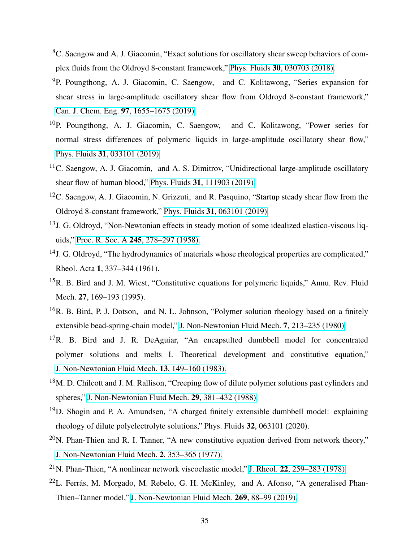- <sup>8</sup>C. Saengow and A. J. Giacomin, "Exact solutions for oscillatory shear sweep behaviors of complex fluids from the Oldroyd 8-constant framework," Phys. Fluids 30[, 030703 \(2018\).](http://dx.doi.org/10.1063/1.5023586)
- <sup>9</sup>P. Poungthong, A. J. Giacomin, C. Saengow, and C. Kolitawong, "Series expansion for shear stress in large-amplitude oscillatory shear flow from Oldroyd 8-constant framework," Can. J. Chem. Eng. 97[, 1655–1675 \(2019\).](http://dx.doi.org/10.1002/cjce.23362)
- $10P$ . Poungthong, A. J. Giacomin, C. Saengow, and C. Kolitawong, "Power series for normal stress differences of polymeric liquids in large-amplitude oscillatory shear flow," Phys. Fluids 31[, 033101 \(2019\).](http://dx.doi.org/10.1063/1.5078635)
- <span id="page-34-0"></span><sup>11</sup>C. Saengow, A. J. Giacomin, and A. S. Dimitrov, "Unidirectional large-amplitude oscillatory shear flow of human blood," Phys. Fluids 31[, 111903 \(2019\).](http://dx.doi.org/ 10.1063/1.5127868)
- <span id="page-34-1"></span><sup>12</sup>C. Saengow, A. J. Giacomin, N. Grizzuti, and R. Pasquino, "Startup steady shear flow from the Oldroyd 8-constant framework," Phys. Fluids 31[, 063101 \(2019\).](http://dx.doi.org/ 10.1063/1.5091493)
- <span id="page-34-2"></span><sup>13</sup>J. G. Oldroyd, "Non-Newtonian effects in steady motion of some idealized elastico-viscous liquids," Proc. R. Soc. A 245[, 278–297 \(1958\).](http://dx.doi.org/https://doi.org/10.1098/rspa.1958.0083)
- <span id="page-34-3"></span><sup>14</sup>J. G. Oldroyd, "The hydrodynamics of materials whose rheological properties are complicated," Rheol. Acta 1, 337–344 (1961).
- <span id="page-34-4"></span><sup>15</sup>R. B. Bird and J. M. Wiest, "Constitutive equations for polymeric liquids," Annu. Rev. Fluid Mech. 27, 169–193 (1995).
- <span id="page-34-5"></span><sup>16</sup>R. B. Bird, P. J. Dotson, and N. L. Johnson, "Polymer solution rheology based on a finitely extensible bead-spring-chain model," [J. Non-Newtonian Fluid Mech.](http://dx.doi.org/ 10.1016/0377-0257(80)85007-5) 7, 213–235 (1980).
- $17R$ . B. Bird and J. R. DeAguiar, "An encapsulted dumbbell model for concentrated polymer solutions and melts I. Theoretical development and constitutive equation," [J. Non-Newtonian Fluid Mech.](http://dx.doi.org/ 10.1016/0377-0257(83)80013-5) 13, 149–160 (1983).
- <sup>18</sup>M. D. Chilcott and J. M. Rallison, "Creeping flow of dilute polymer solutions past cylinders and spheres," [J. Non-Newtonian Fluid Mech.](http://dx.doi.org/ 10.1016/0377-0257(88)85062-6) 29, 381–432 (1988).
- <span id="page-34-6"></span><sup>19</sup>D. Shogin and P. A. Amundsen, "A charged finitely extensible dumbbell model: explaining rheology of dilute polyelectrolyte solutions," Phys. Fluids 32, 063101 (2020).
- <span id="page-34-7"></span> $^{20}$ N. Phan-Thien and R. I. Tanner, "A new constitutive equation derived from network theory," [J. Non-Newtonian Fluid Mech.](http://dx.doi.org/ 10.1016/0377-0257(77)80021-9) 2, 353–365 (1977).
- <sup>21</sup>N. Phan-Thien, "A nonlinear network viscoelastic model," J. Rheol. **22**[, 259–283 \(1978\).](http://dx.doi.org/10.1122/1.549481)
- <span id="page-34-8"></span> $22$ L. Ferrás, M. Morgado, M. Rebelo, G. H. McKinley, and A. Afonso, "A generalised Phan-Thien–Tanner model," [J. Non-Newtonian Fluid Mech.](http://dx.doi.org/10.1016/j.jnnfm.2019.06.001) 269, 88–99 (2019).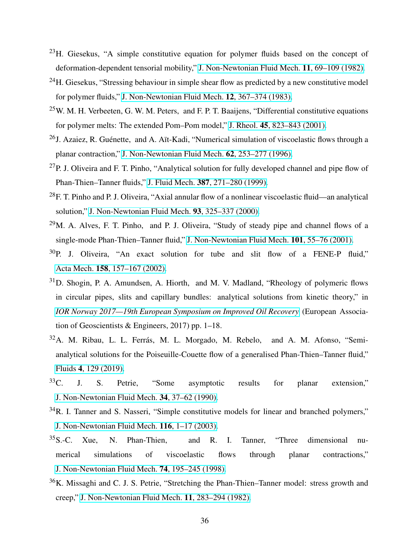- <span id="page-35-0"></span> $^{23}$ H. Giesekus, "A simple constitutive equation for polymer fluids based on the concept of deformation-dependent tensorial mobility," [J. Non-Newtonian Fluid Mech.](http://dx.doi.org/ 10.1016/0377-0257(82)85016-7) 11, 69–109 (1982).
- <span id="page-35-1"></span> $^{24}$ H. Giesekus, "Stressing behaviour in simple shear flow as predicted by a new constitutive model for polymer fluids," [J. Non-Newtonian Fluid Mech.](http://dx.doi.org/10.1016/0377-0257(83)85009-5) 12, 367–374 (1983).
- <span id="page-35-2"></span> $25$ W. M. H. Verbeeten, G. W. M. Peters, and F. P. T. Baaijens, "Differential constitutive equations for polymer melts: The extended Pom–Pom model," J. Rheol. 45[, 823–843 \(2001\).](http://dx.doi.org/10.1122/1.1380426)
- <span id="page-35-3"></span><sup>26</sup>J. Azaiez, R. Guénette, and A. Aït-Kadi, "Numerical simulation of viscoelastic flows through a planar contraction," [J. Non-Newtonian Fluid Mech.](http://dx.doi.org/ 10.1016/0377-0257(95)01406-3) 62, 253–277 (1996).
- $^{27}$ P. J. Oliveira and F. T. Pinho, "Analytical solution for fully developed channel and pipe flow of Phan-Thien–Tanner fluids," J. Fluid Mech. 387[, 271–280 \(1999\).](http://dx.doi.org/ 10.1017/S002211209900453X)
- $^{28}$ F. T. Pinho and P. J. Oliveira, "Axial annular flow of a nonlinear viscoelastic fluid—an analytical solution," [J. Non-Newtonian Fluid Mech.](http://dx.doi.org/10.1016/S0377-0257(00)00113-0) 93, 325–337 (2000).
- $^{29}$ M. A. Alves, F. T. Pinho, and P. J. Oliveira, "Study of steady pipe and channel flows of a single-mode Phan-Thien–Tanner fluid," [J. Non-Newtonian Fluid Mech.](http://dx.doi.org/10.1016/S0377-0257(01)00159-8) 101, 55–76 (2001).
- $30P$ . J. Oliveira, "An exact solution for tube and slit flow of a FENE-P fluid," Acta Mech. 158[, 157–167 \(2002\).](http://dx.doi.org/ 10.1007/BF01176906)
- <span id="page-35-9"></span> $31D$ . Shogin, P. A. Amundsen, A. Hiorth, and M. V. Madland, "Rheology of polymeric flows in circular pipes, slits and capillary bundles: analytical solutions from kinetic theory," in *[IOR Norway 2017—19th European Symposium on Improved Oil Recovery](http://dx.doi.org/10.3997/2214-4609.201700301)* (European Association of Geoscientists & Engineers, 2017) pp. 1–18.
- <span id="page-35-4"></span><sup>32</sup>A. M. Ribau, L. L. Ferrás, M. L. Morgado, M. Rebelo, and A. M. Afonso, "Semianalytical solutions for the Poiseuille-Couette flow of a generalised Phan-Thien–Tanner fluid," Fluids 4[, 129 \(2019\).](http://dx.doi.org/10.3390/fluids4030129)
- <span id="page-35-5"></span><sup>33</sup>C. J. S. Petrie, "Some asymptotic results for planar extension," [J. Non-Newtonian Fluid Mech.](http://dx.doi.org/ 10.1016/0377-0257(90)80011-N) 34, 37–62 (1990).
- <span id="page-35-6"></span><sup>34</sup>R. I. Tanner and S. Nasseri, "Simple constitutive models for linear and branched polymers," [J. Non-Newtonian Fluid Mech.](http://dx.doi.org/ 10.1016/j.jnnfm.2003.08.001) 116, 1–17 (2003).
- <span id="page-35-7"></span> $35S$ .-C. Xue, N. Phan-Thien, and R. I. Tanner, "Three dimensional numerical simulations of viscoelastic flows through planar contractions," [J. Non-Newtonian Fluid Mech.](http://dx.doi.org/10.1016/S0377-0257(97)00072-4) 74, 195–245 (1998).
- <span id="page-35-8"></span><sup>36</sup>K. Missaghi and C. J. S. Petrie, "Stretching the Phan-Thien–Tanner model: stress growth and creep," [J. Non-Newtonian Fluid Mech.](http://dx.doi.org/ 10.1016/0377-0257(82)80035-9) 11, 283–294 (1982).